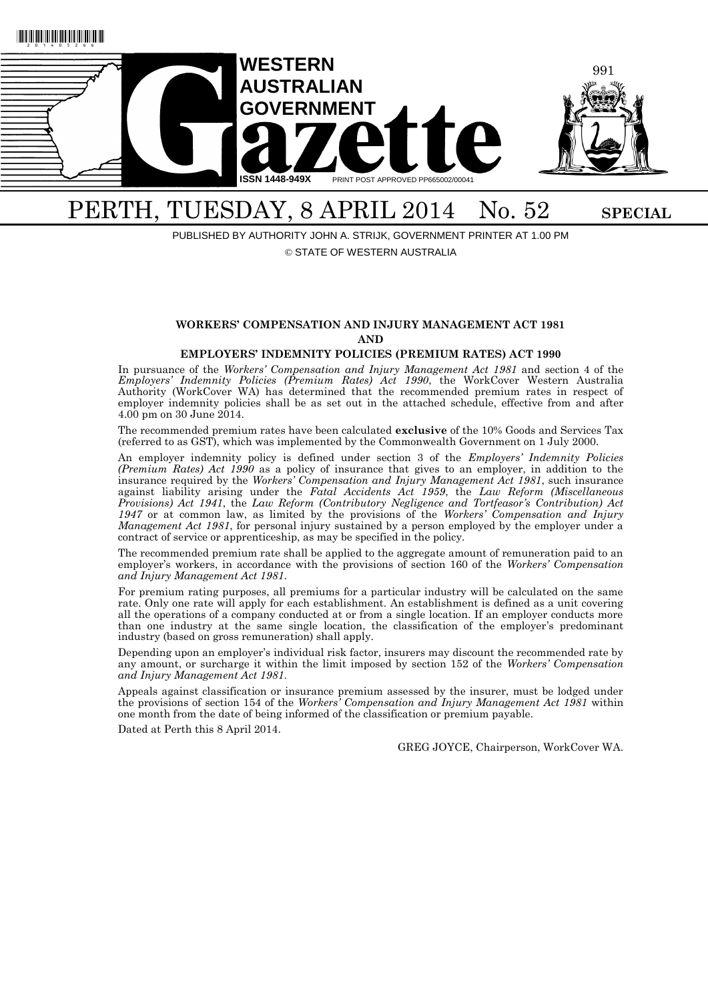

# PERTH, TUESDAY, 8 APRIL 2014 No. 52 SPECIAL

PUBLISHED BY AUTHORITY JOHN A. STRIJK, GOVERNMENT PRINTER AT 1.00 PM

## © STATE OF WESTERN AUSTRALIA

## **WORKERS' COMPENSATION AND INJURY MANAGEMENT ACT 1981 AND**

#### **EMPLOYERS' INDEMNITY POLICIES (PREMIUM RATES) ACT 1990**

In pursuance of the *Workers' Compensation and Injury Management Act 1981* and section 4 of the *Employers' Indemnity Policies (Premium Rates) Act 1990*, the WorkCover Western Australia Authority (WorkCover WA) has determined that the recommended premium rates in respect of employer indemnity policies shall be as set out in the attached schedule, effective from and after 4.00 pm on 30 June 2014.

The recommended premium rates have been calculated **exclusive** of the 10% Goods and Services Tax (referred to as GST), which was implemented by the Commonwealth Government on 1 July 2000.

An employer indemnity policy is defined under section 3 of the *Employers' Indemnity Policies (Premium Rates) Act 1990* as a policy of insurance that gives to an employer, in addition to the insurance required by the *Workers' Compensation and Injury Management Act 1981*, such insurance against liability arising under the *Fatal Accidents Act 1959*, the *Law Reform (Miscellaneous Provisions) Act 1941*, the *Law Reform (Contributory Negligence and Tortfeasor's Contribution) Act 1947* or at common law, as limited by the provisions of the *Workers' Compensation and Injury Management Act 1981*, for personal injury sustained by a person employed by the employer under a contract of service or apprenticeship, as may be specified in the policy.

The recommended premium rate shall be applied to the aggregate amount of remuneration paid to an employer's workers, in accordance with the provisions of section 160 of the *Workers' Compensation and Injury Management Act 1981*.

For premium rating purposes, all premiums for a particular industry will be calculated on the same rate. Only one rate will apply for each establishment. An establishment is defined as a unit covering all the operations of a company conducted at or from a single location. If an employer conducts more than one industry at the same single location, the classification of the employer's predominant industry (based on gross remuneration) shall apply.

Depending upon an employer's individual risk factor, insurers may discount the recommended rate by any amount, or surcharge it within the limit imposed by section 152 of the *Workers' Compensation and Injury Management Act 1981*.

Appeals against classification or insurance premium assessed by the insurer, must be lodged under the provisions of section 154 of the *Workers' Compensation and Injury Management Act 1981* within one month from the date of being informed of the classification or premium payable.

Dated at Perth this 8 April 2014.

GREG JOYCE, Chairperson, WorkCover WA.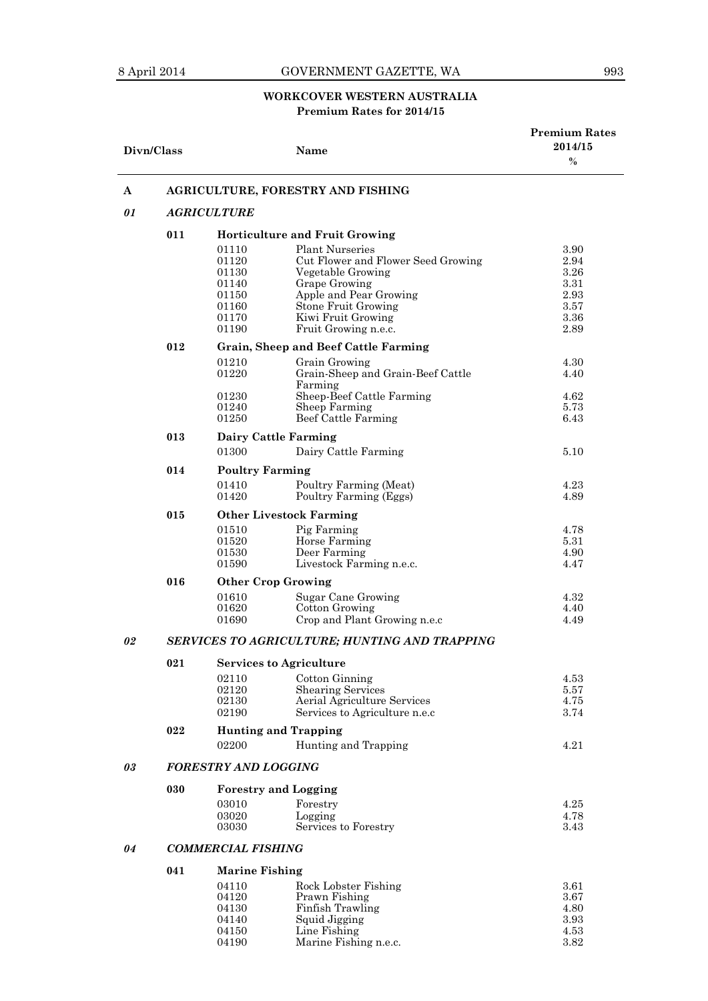## 8 April 2014 GOVERNMENT GAZETTE, WA 993

## **WORKCOVER WESTERN AUSTRALIA Premium Rates for 2014/15**

| Divn/Class |                                               |                             | Name                                                         | <b>Premium Rates</b><br>2014/15<br>$\frac{0}{0}$ |  |  |  |
|------------|-----------------------------------------------|-----------------------------|--------------------------------------------------------------|--------------------------------------------------|--|--|--|
| A          |                                               |                             | AGRICULTURE, FORESTRY AND FISHING                            |                                                  |  |  |  |
| 01         | <b>AGRICULTURE</b>                            |                             |                                                              |                                                  |  |  |  |
|            | 011                                           |                             | <b>Horticulture and Fruit Growing</b>                        |                                                  |  |  |  |
|            |                                               | 01110                       | <b>Plant Nurseries</b>                                       | 3.90                                             |  |  |  |
|            |                                               | 01120                       | Cut Flower and Flower Seed Growing                           | 2.94                                             |  |  |  |
|            |                                               | 01130                       | Vegetable Growing                                            | 3.26                                             |  |  |  |
|            |                                               | 01140                       | <b>Grape Growing</b>                                         | 3.31                                             |  |  |  |
|            |                                               | 01150<br>01160              | Apple and Pear Growing<br><b>Stone Fruit Growing</b>         | 2.93<br>3.57                                     |  |  |  |
|            |                                               | 01170                       | Kiwi Fruit Growing                                           | 3.36                                             |  |  |  |
|            |                                               | 01190                       | Fruit Growing n.e.c.                                         | 2.89                                             |  |  |  |
|            | 012                                           |                             | <b>Grain, Sheep and Beef Cattle Farming</b>                  |                                                  |  |  |  |
|            |                                               | 01210<br>01220              | Grain Growing<br>Grain-Sheep and Grain-Beef Cattle           | 4.30<br>4.40                                     |  |  |  |
|            |                                               |                             | Farming                                                      |                                                  |  |  |  |
|            |                                               | 01230                       | Sheep-Beef Cattle Farming                                    | 4.62                                             |  |  |  |
|            |                                               | 01240                       | Sheep Farming                                                | 5.73                                             |  |  |  |
|            |                                               | 01250                       | Beef Cattle Farming                                          | 6.43                                             |  |  |  |
|            | 013                                           | <b>Dairy Cattle Farming</b> |                                                              |                                                  |  |  |  |
|            |                                               | 01300                       | Dairy Cattle Farming                                         | 5.10                                             |  |  |  |
|            | 014                                           | <b>Poultry Farming</b>      |                                                              |                                                  |  |  |  |
|            |                                               | 01410<br>01420              | Poultry Farming (Meat)<br>Poultry Farming (Eggs)             | 4.23<br>4.89                                     |  |  |  |
|            | 015                                           |                             | <b>Other Livestock Farming</b>                               |                                                  |  |  |  |
|            |                                               | 01510                       | Pig Farming                                                  | 4.78                                             |  |  |  |
|            |                                               | 01520                       | Horse Farming                                                | 5.31                                             |  |  |  |
|            |                                               | 01530<br>01590              | Deer Farming<br>Livestock Farming n.e.c.                     | 4.90<br>4.47                                     |  |  |  |
|            | 016                                           | <b>Other Crop Growing</b>   |                                                              |                                                  |  |  |  |
|            |                                               | 01610                       | Sugar Cane Growing                                           | 4.32                                             |  |  |  |
|            |                                               | 01620                       | Cotton Growing                                               | 4.40                                             |  |  |  |
|            |                                               | 01690                       | Crop and Plant Growing n.e.c                                 | 4.49                                             |  |  |  |
| 02         | SERVICES TO AGRICULTURE; HUNTING AND TRAPPING |                             |                                                              |                                                  |  |  |  |
|            | 021                                           |                             | <b>Services to Agriculture</b>                               |                                                  |  |  |  |
|            |                                               | 02110                       | Cotton Ginning                                               | 4.53                                             |  |  |  |
|            |                                               | 02120                       | <b>Shearing Services</b>                                     | 5.57                                             |  |  |  |
|            |                                               | 02130<br>02190              | Aerial Agriculture Services<br>Services to Agriculture n.e.c | 4.75<br>3.74                                     |  |  |  |
|            | 022                                           | <b>Hunting and Trapping</b> |                                                              |                                                  |  |  |  |
|            |                                               | 02200                       | Hunting and Trapping                                         | 4.21                                             |  |  |  |
| 03         |                                               | <b>FORESTRY AND LOGGING</b> |                                                              |                                                  |  |  |  |
|            |                                               |                             |                                                              |                                                  |  |  |  |
|            | 030                                           | <b>Forestry and Logging</b> |                                                              | 4.25                                             |  |  |  |
|            |                                               | 03010<br>03020              | Forestry<br>Logging                                          | 4.78                                             |  |  |  |
|            |                                               | 03030                       | Services to Forestry                                         | 3.43                                             |  |  |  |
| 04         |                                               | <b>COMMERCIAL FISHING</b>   |                                                              |                                                  |  |  |  |
|            | 041                                           | <b>Marine Fishing</b>       |                                                              |                                                  |  |  |  |
|            |                                               | 04110                       | Rock Lobster Fishing                                         | 3.61                                             |  |  |  |
|            |                                               | 04120                       | Prawn Fishing                                                | 3.67                                             |  |  |  |
|            |                                               | 04130                       | Finfish Trawling                                             | 4.80                                             |  |  |  |
|            |                                               | 04140                       | Squid Jigging                                                | 3.93                                             |  |  |  |
|            |                                               | 04150<br>04190              | Line Fishing<br>Marine Fishing n.e.c.                        | 4.53<br>3.82                                     |  |  |  |
|            |                                               |                             |                                                              |                                                  |  |  |  |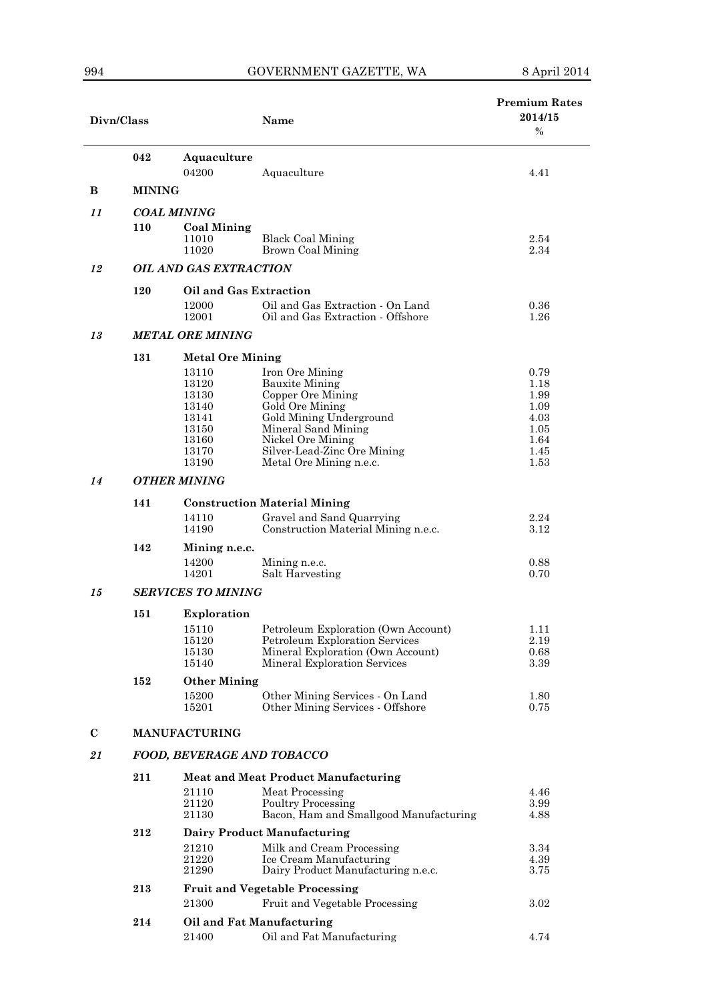| Divn/Class  |                           |                                                                               | Name                                                                                                                                                                                                              | <b>Premium Rates</b><br>2014/15<br>$\%$                              |  |  |  |  |
|-------------|---------------------------|-------------------------------------------------------------------------------|-------------------------------------------------------------------------------------------------------------------------------------------------------------------------------------------------------------------|----------------------------------------------------------------------|--|--|--|--|
|             | 042                       | Aquaculture<br>04200                                                          | Aquaculture                                                                                                                                                                                                       | 4.41                                                                 |  |  |  |  |
| в           | <b>MINING</b>             |                                                                               |                                                                                                                                                                                                                   |                                                                      |  |  |  |  |
| 11          |                           | <b>COAL MINING</b>                                                            |                                                                                                                                                                                                                   |                                                                      |  |  |  |  |
|             | 110                       | <b>Coal Mining</b><br>11010<br>11020                                          | <b>Black Coal Mining</b><br>Brown Coal Mining                                                                                                                                                                     | 2.54<br>2.34                                                         |  |  |  |  |
| 12          |                           | <b>OIL AND GAS EXTRACTION</b>                                                 |                                                                                                                                                                                                                   |                                                                      |  |  |  |  |
|             | 120                       | Oil and Gas Extraction                                                        |                                                                                                                                                                                                                   |                                                                      |  |  |  |  |
|             |                           | 12000<br>12001                                                                | Oil and Gas Extraction - On Land<br>Oil and Gas Extraction - Offshore                                                                                                                                             | 0.36<br>1.26                                                         |  |  |  |  |
| 13          |                           | <b>METAL ORE MINING</b>                                                       |                                                                                                                                                                                                                   |                                                                      |  |  |  |  |
|             | 131                       | <b>Metal Ore Mining</b>                                                       |                                                                                                                                                                                                                   |                                                                      |  |  |  |  |
|             |                           | 13110<br>13120<br>13130<br>13140<br>13141<br>13150<br>13160<br>13170<br>13190 | Iron Ore Mining<br><b>Bauxite Mining</b><br>Copper Ore Mining<br>Gold Ore Mining<br>Gold Mining Underground<br>Mineral Sand Mining<br>Nickel Ore Mining<br>Silver-Lead-Zinc Ore Mining<br>Metal Ore Mining n.e.c. | 0.79<br>1.18<br>1.99<br>1.09<br>4.03<br>1.05<br>1.64<br>1.45<br>1.53 |  |  |  |  |
| 14          |                           | <b>OTHER MINING</b>                                                           |                                                                                                                                                                                                                   |                                                                      |  |  |  |  |
|             | 141                       | 14110<br>14190                                                                | <b>Construction Material Mining</b><br>Gravel and Sand Quarrying<br>Construction Material Mining n.e.c.                                                                                                           | 2.24<br>3.12                                                         |  |  |  |  |
|             | 142                       | Mining n.e.c.                                                                 |                                                                                                                                                                                                                   |                                                                      |  |  |  |  |
|             |                           | 14200<br>14201                                                                | Mining n.e.c.<br>Salt Harvesting                                                                                                                                                                                  | 0.88<br>0.70                                                         |  |  |  |  |
| 15          | <b>SERVICES TO MINING</b> |                                                                               |                                                                                                                                                                                                                   |                                                                      |  |  |  |  |
|             | 151                       | Exploration                                                                   |                                                                                                                                                                                                                   |                                                                      |  |  |  |  |
|             |                           | 15110<br>15120<br>15130<br>15140                                              | Petroleum Exploration (Own Account)<br>Petroleum Exploration Services<br>Mineral Exploration (Own Account)<br>Mineral Exploration Services                                                                        | 1.11<br>2.19<br>0.68<br>3.39                                         |  |  |  |  |
|             | 152                       | <b>Other Mining</b>                                                           |                                                                                                                                                                                                                   |                                                                      |  |  |  |  |
|             |                           | 15200<br>15201                                                                | Other Mining Services - On Land<br>Other Mining Services - Offshore                                                                                                                                               | 1.80<br>0.75                                                         |  |  |  |  |
| $\mathbf C$ |                           | <b>MANUFACTURING</b>                                                          |                                                                                                                                                                                                                   |                                                                      |  |  |  |  |
| 21          |                           | <b>FOOD, BEVERAGE AND TOBACCO</b>                                             |                                                                                                                                                                                                                   |                                                                      |  |  |  |  |
|             | 211                       | 21110<br>21120<br>21130                                                       | <b>Meat and Meat Product Manufacturing</b><br>Meat Processing<br><b>Poultry Processing</b><br>Bacon, Ham and Smallgood Manufacturing                                                                              | 4.46<br>3.99<br>4.88                                                 |  |  |  |  |
|             | 212                       |                                                                               | <b>Dairy Product Manufacturing</b>                                                                                                                                                                                |                                                                      |  |  |  |  |
|             |                           | 21210<br>21220<br>21290                                                       | Milk and Cream Processing<br>Ice Cream Manufacturing<br>Dairy Product Manufacturing n.e.c.                                                                                                                        | 3.34<br>4.39<br>3.75                                                 |  |  |  |  |
|             | 213                       |                                                                               | <b>Fruit and Vegetable Processing</b>                                                                                                                                                                             |                                                                      |  |  |  |  |
|             |                           | 21300                                                                         | Fruit and Vegetable Processing                                                                                                                                                                                    | 3.02                                                                 |  |  |  |  |
|             | 214                       | 21400                                                                         | Oil and Fat Manufacturing<br>Oil and Fat Manufacturing                                                                                                                                                            | 4.74                                                                 |  |  |  |  |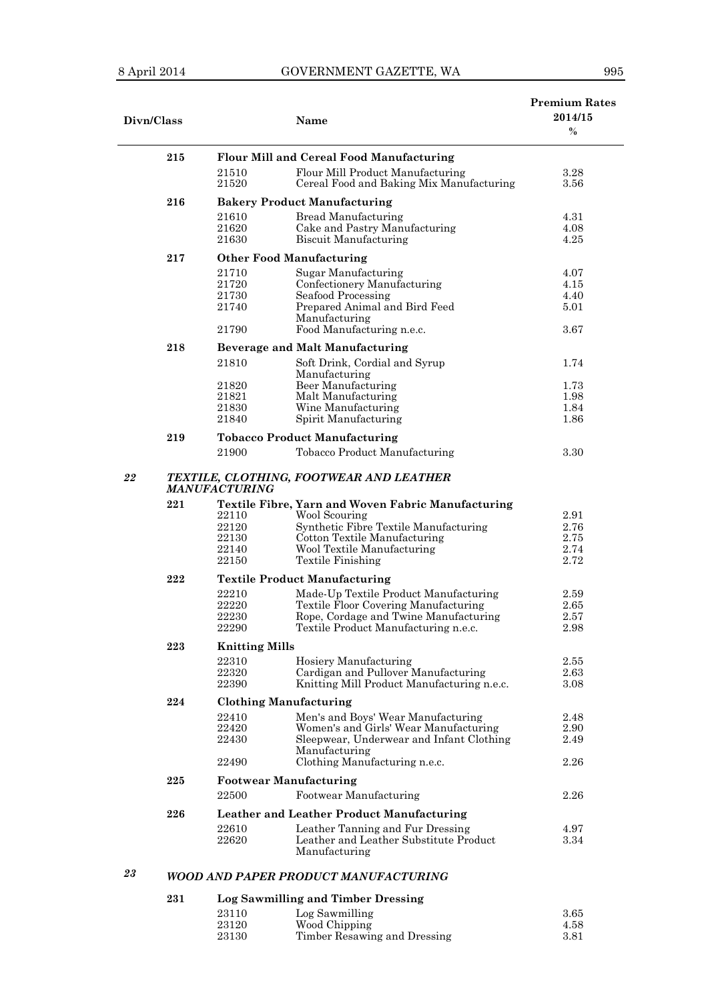÷,

| Divn/Class |     |                                 | Name                                                                                          | <b>Premium Rates</b><br>2014/15<br>$\%$ |  |
|------------|-----|---------------------------------|-----------------------------------------------------------------------------------------------|-----------------------------------------|--|
|            | 215 |                                 | <b>Flour Mill and Cereal Food Manufacturing</b>                                               |                                         |  |
|            |     | 21510                           | Flour Mill Product Manufacturing                                                              | 3.28                                    |  |
|            |     | 21520                           | Cereal Food and Baking Mix Manufacturing                                                      | 3.56                                    |  |
|            |     |                                 |                                                                                               |                                         |  |
|            | 216 |                                 | <b>Bakery Product Manufacturing</b>                                                           |                                         |  |
|            |     | 21610                           | <b>Bread Manufacturing</b>                                                                    | 4.31                                    |  |
|            |     | 21620                           | Cake and Pastry Manufacturing                                                                 | 4.08                                    |  |
|            |     | 21630                           | Biscuit Manufacturing                                                                         | 4.25                                    |  |
|            | 217 | <b>Other Food Manufacturing</b> |                                                                                               |                                         |  |
|            |     | 21710                           | Sugar Manufacturing                                                                           | 4.07                                    |  |
|            |     | 21720                           | Confectionery Manufacturing                                                                   | 4.15                                    |  |
|            |     | 21730                           | Seafood Processing                                                                            | 4.40                                    |  |
|            |     | 21740                           | Prepared Animal and Bird Feed                                                                 | 5.01                                    |  |
|            |     |                                 | Manufacturing                                                                                 |                                         |  |
|            |     | 21790                           | Food Manufacturing n.e.c.                                                                     | 3.67                                    |  |
|            | 218 |                                 | <b>Beverage and Malt Manufacturing</b>                                                        |                                         |  |
|            |     | 21810                           | Soft Drink, Cordial and Syrup                                                                 | 1.74                                    |  |
|            |     |                                 | Manufacturing                                                                                 |                                         |  |
|            |     | 21820                           | Beer Manufacturing                                                                            | 1.73                                    |  |
|            |     | 21821                           | Malt Manufacturing                                                                            | 1.98                                    |  |
|            |     | 21830                           | Wine Manufacturing                                                                            | 1.84                                    |  |
|            |     | 21840                           | Spirit Manufacturing                                                                          | 1.86                                    |  |
|            | 219 |                                 | <b>Tobacco Product Manufacturing</b>                                                          |                                         |  |
|            |     | 21900                           | Tobacco Product Manufacturing                                                                 | 3.30                                    |  |
| 22         | 221 | <b>MANUFACTURING</b>            | TEXTILE, CLOTHING, FOOTWEAR AND LEATHER<br>Textile Fibre, Yarn and Woven Fabric Manufacturing |                                         |  |
|            |     | 22110                           | Wool Scouring                                                                                 | 2.91                                    |  |
|            |     | 22120                           | Synthetic Fibre Textile Manufacturing                                                         | 2.76                                    |  |
|            |     | 22130                           | Cotton Textile Manufacturing                                                                  | 2.75                                    |  |
|            |     | 22140                           | Wool Textile Manufacturing                                                                    | 2.74                                    |  |
|            |     | 22150                           | <b>Textile Finishing</b>                                                                      | 2.72                                    |  |
|            | 222 |                                 | <b>Textile Product Manufacturing</b>                                                          |                                         |  |
|            |     | 22210                           | Made-Up Textile Product Manufacturing                                                         | 2.59                                    |  |
|            |     | 22220                           | Textile Floor Covering Manufacturing                                                          | 2.65                                    |  |
|            |     | 22230                           | Rope, Cordage and Twine Manufacturing                                                         | 2.57                                    |  |
|            |     | 22290                           | Textile Product Manufacturing n.e.c.                                                          | 2.98                                    |  |
|            | 223 | <b>Knitting Mills</b>           |                                                                                               |                                         |  |
|            |     |                                 |                                                                                               |                                         |  |
|            |     | 22310<br>22320                  | Hosiery Manufacturing<br>Cardigan and Pullover Manufacturing                                  | 2.55<br>2.63                            |  |
|            |     | 22390                           | Knitting Mill Product Manufacturing n.e.c.                                                    | 3.08                                    |  |
|            |     |                                 |                                                                                               |                                         |  |
|            | 224 | <b>Clothing Manufacturing</b>   |                                                                                               |                                         |  |
|            |     | 22410                           | Men's and Boys' Wear Manufacturing                                                            | 2.48                                    |  |
|            |     | 22420<br>22430                  | Women's and Girls' Wear Manufacturing                                                         | 2.90                                    |  |
|            |     |                                 | Sleepwear, Underwear and Infant Clothing<br>Manufacturing                                     | 2.49                                    |  |
|            |     | 22490                           | Clothing Manufacturing n.e.c.                                                                 | 2.26                                    |  |
|            | 225 | <b>Footwear Manufacturing</b>   |                                                                                               |                                         |  |
|            |     | 22500                           | Footwear Manufacturing                                                                        | 2.26                                    |  |
|            |     |                                 |                                                                                               |                                         |  |
|            | 226 |                                 | <b>Leather and Leather Product Manufacturing</b>                                              |                                         |  |
|            |     | 22610                           | Leather Tanning and Fur Dressing                                                              | 4.97                                    |  |
|            |     | 22620                           | Leather and Leather Substitute Product                                                        | 3.34                                    |  |
|            |     |                                 | Manufacturing                                                                                 |                                         |  |
| 23         |     |                                 | WOOD AND PAPER PRODUCT MANUFACTURING                                                          |                                         |  |

### **Log Sawmilling and Timber Dressing** 23110 Log Sawmilling 3.65 23120 Wood Chipping 4.58 23130 Timber Resawing and Dressing 3.81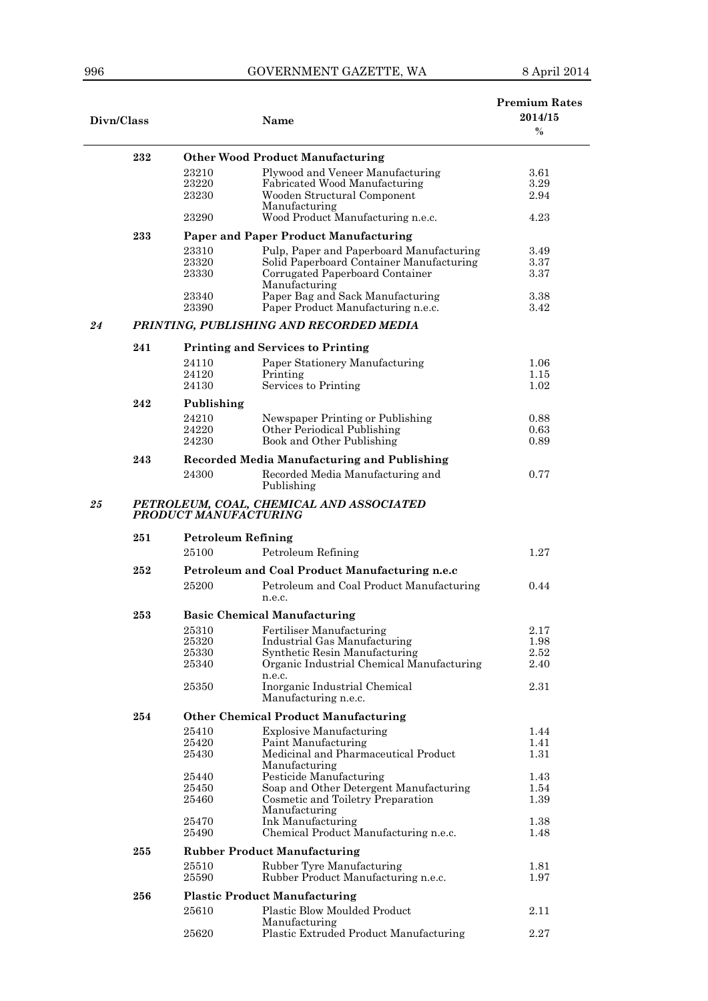| Divn/Class |                                                                   | Name                                 |                                                                        | <b>Premium Rates</b><br>2014/15<br>$\%$ |  |
|------------|-------------------------------------------------------------------|--------------------------------------|------------------------------------------------------------------------|-----------------------------------------|--|
|            | 232                                                               |                                      | <b>Other Wood Product Manufacturing</b>                                |                                         |  |
|            |                                                                   | 23210                                | Plywood and Veneer Manufacturing                                       | 3.61                                    |  |
|            |                                                                   | 23220                                | Fabricated Wood Manufacturing                                          | 3.29                                    |  |
|            |                                                                   | 23230                                | Wooden Structural Component                                            | 2.94                                    |  |
|            |                                                                   | 23290                                | Manufacturing<br>Wood Product Manufacturing n.e.c.                     | 4.23                                    |  |
|            | 233                                                               |                                      | <b>Paper and Paper Product Manufacturing</b>                           |                                         |  |
|            |                                                                   | 23310                                | Pulp, Paper and Paperboard Manufacturing                               | 3.49                                    |  |
|            |                                                                   | 23320                                | Solid Paperboard Container Manufacturing                               | 3.37                                    |  |
|            |                                                                   | 23330                                | Corrugated Paperboard Container                                        | 3.37                                    |  |
|            |                                                                   |                                      | Manufacturing                                                          |                                         |  |
|            |                                                                   | 23340<br>23390                       | Paper Bag and Sack Manufacturing<br>Paper Product Manufacturing n.e.c. | 3.38<br>3.42                            |  |
| 24         |                                                                   |                                      | PRINTING, PUBLISHING AND RECORDED MEDIA                                |                                         |  |
|            | 241                                                               |                                      | <b>Printing and Services to Printing</b>                               |                                         |  |
|            |                                                                   | 24110                                | Paper Stationery Manufacturing                                         | 1.06                                    |  |
|            |                                                                   | 24120                                | Printing                                                               | 1.15                                    |  |
|            |                                                                   | 24130                                | Services to Printing                                                   | 1.02                                    |  |
|            | 242                                                               | Publishing                           |                                                                        |                                         |  |
|            |                                                                   | 24210                                | Newspaper Printing or Publishing                                       | 0.88                                    |  |
|            |                                                                   | 24220                                | Other Periodical Publishing                                            | 0.63                                    |  |
|            |                                                                   | 24230                                | Book and Other Publishing                                              | 0.89                                    |  |
|            | 243                                                               |                                      | <b>Recorded Media Manufacturing and Publishing</b>                     |                                         |  |
|            |                                                                   | 24300                                | Recorded Media Manufacturing and<br>Publishing                         | 0.77                                    |  |
| 25         | PETROLEUM, COAL, CHEMICAL AND ASSOCIATED<br>PRODUCT MANUFACTURING |                                      |                                                                        |                                         |  |
|            | 251                                                               | <b>Petroleum Refining</b>            |                                                                        |                                         |  |
|            |                                                                   | 25100                                | Petroleum Refining                                                     | 1.27                                    |  |
|            | 252                                                               |                                      | Petroleum and Coal Product Manufacturing n.e.c                         |                                         |  |
|            |                                                                   | 25200                                | Petroleum and Coal Product Manufacturing<br>n.e.c.                     | 0.44                                    |  |
|            | 253                                                               | <b>Basic Chemical Manufacturing</b>  |                                                                        |                                         |  |
|            |                                                                   | 25310                                | Fertiliser Manufacturing                                               | 2.17                                    |  |
|            |                                                                   | 25320                                | Industrial Gas Manufacturing                                           | 1.98                                    |  |
|            |                                                                   | 25330                                | Synthetic Resin Manufacturing                                          | $2.52\,$                                |  |
|            |                                                                   | 25340                                | Organic Industrial Chemical Manufacturing                              | 2.40                                    |  |
|            |                                                                   | 25350                                | n.e.c.<br>Inorganic Industrial Chemical                                | 2.31                                    |  |
|            |                                                                   |                                      | Manufacturing n.e.c.                                                   |                                         |  |
|            | 254                                                               |                                      | <b>Other Chemical Product Manufacturing</b>                            |                                         |  |
|            |                                                                   | 25410                                | <b>Explosive Manufacturing</b>                                         | 1.44                                    |  |
|            |                                                                   | 25420                                | Paint Manufacturing                                                    | 1.41                                    |  |
|            |                                                                   | 25430                                | Medicinal and Pharmaceutical Product<br>Manufacturing                  | 1.31                                    |  |
|            |                                                                   | 25440                                | Pesticide Manufacturing                                                | 1.43                                    |  |
|            |                                                                   | 25450                                | Soap and Other Detergent Manufacturing                                 | 1.54                                    |  |
|            |                                                                   | 25460                                | Cosmetic and Toiletry Preparation<br>Manufacturing                     | 1.39                                    |  |
|            |                                                                   | 25470                                | Ink Manufacturing                                                      | 1.38                                    |  |
|            |                                                                   | 25490                                | Chemical Product Manufacturing n.e.c.                                  | 1.48                                    |  |
|            | 255                                                               | <b>Rubber Product Manufacturing</b>  |                                                                        |                                         |  |
|            |                                                                   | 25510                                | Rubber Tyre Manufacturing                                              | 1.81                                    |  |
|            |                                                                   | 25590                                | Rubber Product Manufacturing n.e.c.                                    | 1.97                                    |  |
|            | 256                                                               | <b>Plastic Product Manufacturing</b> |                                                                        |                                         |  |
|            |                                                                   | 25610                                | Plastic Blow Moulded Product                                           | 2.11                                    |  |
|            |                                                                   |                                      | Manufacturing                                                          |                                         |  |
|            |                                                                   | 25620                                | Plastic Extruded Product Manufacturing                                 | 2.27                                    |  |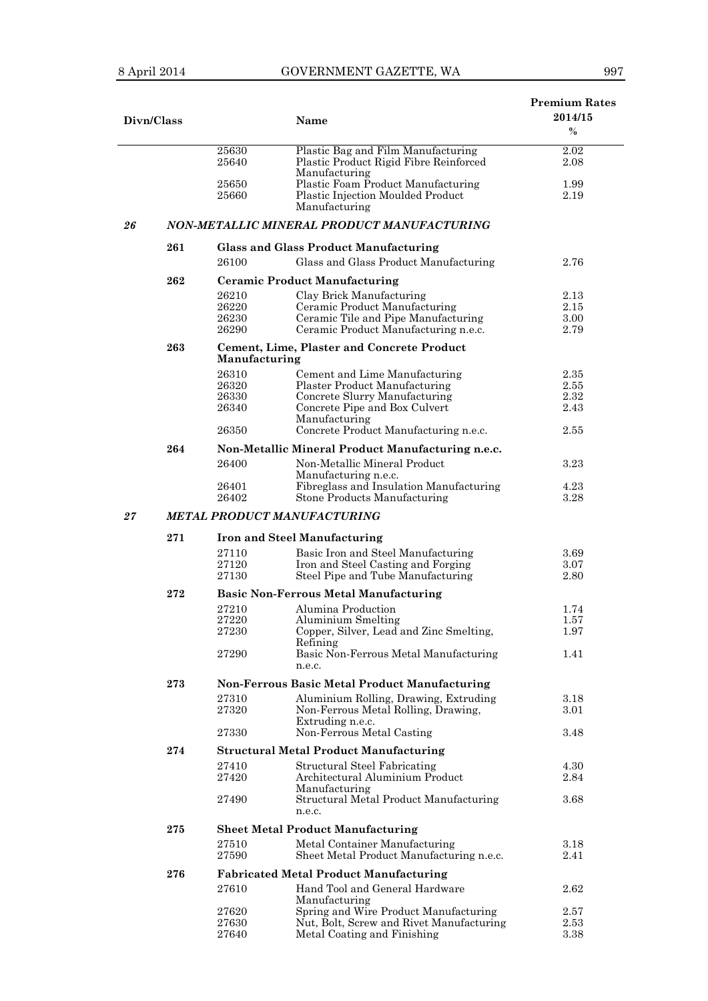| ×<br>I | ×<br>I |  |
|--------|--------|--|

| Divn/Class |     |                |                                                                             | <b>Premium Rates</b><br>2014/15 |  |
|------------|-----|----------------|-----------------------------------------------------------------------------|---------------------------------|--|
|            |     |                | Name                                                                        | $\%$                            |  |
|            |     | 25630          | Plastic Bag and Film Manufacturing                                          | $2.02\,$                        |  |
|            |     | 25640          | Plastic Product Rigid Fibre Reinforced<br>Manufacturing                     | 2.08                            |  |
|            |     | 25650          | Plastic Foam Product Manufacturing                                          | 1.99                            |  |
|            |     | 25660          | Plastic Injection Moulded Product                                           | 2.19                            |  |
|            |     |                | Manufacturing                                                               |                                 |  |
| 26         |     |                | NON-METALLIC MINERAL PRODUCT MANUFACTURING                                  |                                 |  |
|            | 261 |                | <b>Glass and Glass Product Manufacturing</b>                                |                                 |  |
|            |     | 26100          | Glass and Glass Product Manufacturing                                       | 2.76                            |  |
|            | 262 |                | <b>Ceramic Product Manufacturing</b>                                        |                                 |  |
|            |     | 26210          | Clay Brick Manufacturing                                                    | $2.13\,$                        |  |
|            |     | 26220          | Ceramic Product Manufacturing                                               | $2.15\,$                        |  |
|            |     | 26230<br>26290 | Ceramic Tile and Pipe Manufacturing<br>Ceramic Product Manufacturing n.e.c. | 3.00<br>2.79                    |  |
|            |     |                |                                                                             |                                 |  |
|            | 263 | Manufacturing  | <b>Cement, Lime, Plaster and Concrete Product</b>                           |                                 |  |
|            |     | 26310          | Cement and Lime Manufacturing                                               | 2.35                            |  |
|            |     | 26320          | Plaster Product Manufacturing                                               | 2.55                            |  |
|            |     | 26330          | Concrete Slurry Manufacturing                                               | 2.32                            |  |
|            |     | 26340          | Concrete Pipe and Box Culvert<br>Manufacturing                              | 2.43                            |  |
|            |     | 26350          | Concrete Product Manufacturing n.e.c.                                       | 2.55                            |  |
|            | 264 |                | Non-Metallic Mineral Product Manufacturing n.e.c.                           |                                 |  |
|            |     | 26400          | Non-Metallic Mineral Product                                                | 3.23                            |  |
|            |     |                | Manufacturing n.e.c.                                                        |                                 |  |
|            |     | 26401<br>26402 | Fibreglass and Insulation Manufacturing<br>Stone Products Manufacturing     | 4.23<br>3.28                    |  |
| 27         |     |                | <b>METAL PRODUCT MANUFACTURING</b>                                          |                                 |  |
|            | 271 |                | <b>Iron and Steel Manufacturing</b>                                         |                                 |  |
|            |     | 27110          | Basic Iron and Steel Manufacturing                                          | 3.69                            |  |
|            |     | 27120          | Iron and Steel Casting and Forging                                          | 3.07                            |  |
|            |     | 27130          | Steel Pipe and Tube Manufacturing                                           | 2.80                            |  |
|            | 272 |                | <b>Basic Non-Ferrous Metal Manufacturing</b>                                |                                 |  |
|            |     | 27210          | Alumina Production                                                          | 1.74                            |  |
|            |     | 27220          | Aluminium Smelting                                                          | 1.57                            |  |
|            |     | 27230          | Copper, Silver, Lead and Zinc Smelting,                                     | 1.97                            |  |
|            |     | 27290          | Refining<br>Basic Non-Ferrous Metal Manufacturing                           | 1.41                            |  |
|            |     |                | n.e.c.                                                                      |                                 |  |
|            | 273 |                | Non-Ferrous Basic Metal Product Manufacturing                               |                                 |  |
|            |     | 27310          | Aluminium Rolling, Drawing, Extruding                                       | $3.18\,$                        |  |
|            |     | 27320          | Non-Ferrous Metal Rolling, Drawing,                                         | 3.01                            |  |
|            |     | 27330          | Extruding n.e.c.<br>Non-Ferrous Metal Casting                               | 3.48                            |  |
|            | 274 |                | <b>Structural Metal Product Manufacturing</b>                               |                                 |  |
|            |     | 27410          | <b>Structural Steel Fabricating</b>                                         | 4.30                            |  |
|            |     | 27420          | Architectural Aluminium Product                                             | 2.84                            |  |
|            |     |                | Manufacturing                                                               |                                 |  |
|            |     | 27490          | Structural Metal Product Manufacturing<br>n.e.c.                            | 3.68                            |  |
|            | 275 |                | <b>Sheet Metal Product Manufacturing</b>                                    |                                 |  |
|            |     | 27510          | Metal Container Manufacturing                                               | 3.18                            |  |
|            |     | 27590          | Sheet Metal Product Manufacturing n.e.c.                                    | 2.41                            |  |
|            | 276 |                | <b>Fabricated Metal Product Manufacturing</b>                               |                                 |  |
|            |     | 27610          | Hand Tool and General Hardware                                              | 2.62                            |  |
|            |     |                | Manufacturing                                                               |                                 |  |
|            |     | 27620          | Spring and Wire Product Manufacturing                                       | $2.57\,$                        |  |
|            |     | 27630<br>27640 | Nut, Bolt, Screw and Rivet Manufacturing<br>Metal Coating and Finishing     | 2.53<br>3.38                    |  |
|            |     |                |                                                                             |                                 |  |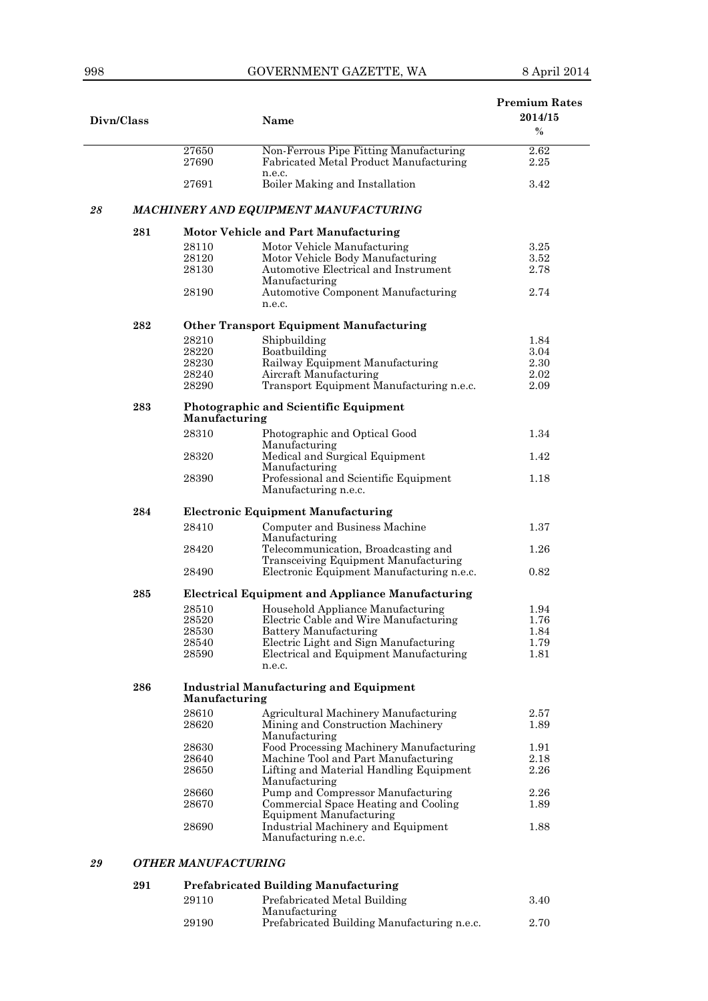|    |            |                                               |                                                         | <b>Premium Rates</b> |  |
|----|------------|-----------------------------------------------|---------------------------------------------------------|----------------------|--|
|    | Divn/Class |                                               | Name                                                    | 2014/15              |  |
|    |            |                                               |                                                         | $\%$                 |  |
|    |            | 27650                                         | Non-Ferrous Pipe Fitting Manufacturing                  | $2.62\,$             |  |
|    |            | 27690                                         | Fabricated Metal Product Manufacturing                  | 2.25                 |  |
|    |            |                                               | n.e.c.                                                  |                      |  |
|    |            | 27691                                         | Boiler Making and Installation                          | 3.42                 |  |
|    |            |                                               |                                                         |                      |  |
| 28 |            |                                               | MACHINERY AND EQUIPMENT MANUFACTURING                   |                      |  |
|    | 281        |                                               | Motor Vehicle and Part Manufacturing                    |                      |  |
|    |            | 28110                                         | Motor Vehicle Manufacturing                             | 3.25                 |  |
|    |            | 28120                                         | Motor Vehicle Body Manufacturing                        | 3.52                 |  |
|    |            | 28130                                         | Automotive Electrical and Instrument                    | 2.78                 |  |
|    |            |                                               | Manufacturing                                           |                      |  |
|    |            | 28190                                         | Automotive Component Manufacturing                      | 2.74                 |  |
|    |            |                                               | n.e.c.                                                  |                      |  |
|    | 282        |                                               | <b>Other Transport Equipment Manufacturing</b>          |                      |  |
|    |            | 28210                                         | Shipbuilding                                            | 1.84                 |  |
|    |            | 28220                                         | Boatbuilding                                            | 3.04                 |  |
|    |            | 28230                                         | Railway Equipment Manufacturing                         | 2.30                 |  |
|    |            | 28240                                         | Aircraft Manufacturing                                  | 2.02                 |  |
|    |            | 28290                                         | Transport Equipment Manufacturing n.e.c.                | 2.09                 |  |
|    |            |                                               |                                                         |                      |  |
|    | 283        |                                               | Photographic and Scientific Equipment                   |                      |  |
|    |            | Manufacturing                                 |                                                         |                      |  |
|    |            | 28310                                         | Photographic and Optical Good                           | 1.34                 |  |
|    |            |                                               | Manufacturing                                           |                      |  |
|    |            | 28320                                         | Medical and Surgical Equipment                          | 1.42                 |  |
|    |            |                                               | Manufacturing                                           |                      |  |
|    |            | 28390                                         | Professional and Scientific Equipment                   | 1.18                 |  |
|    |            |                                               | Manufacturing n.e.c.                                    |                      |  |
|    | 284        |                                               | <b>Electronic Equipment Manufacturing</b>               |                      |  |
|    |            | 28410                                         | Computer and Business Machine                           | 1.37                 |  |
|    |            |                                               | Manufacturing                                           |                      |  |
|    |            | 28420                                         | Telecommunication, Broadcasting and                     | 1.26                 |  |
|    |            |                                               | Transceiving Equipment Manufacturing                    |                      |  |
|    |            | 28490                                         | Electronic Equipment Manufacturing n.e.c.               | 0.82                 |  |
|    | 285        |                                               | <b>Electrical Equipment and Appliance Manufacturing</b> |                      |  |
|    |            | 28510                                         | Household Appliance Manufacturing                       | 1.94                 |  |
|    |            | 28520                                         | Electric Cable and Wire Manufacturing                   | 1.76                 |  |
|    |            | 28530                                         | Battery Manufacturing                                   | 1.84                 |  |
|    |            | 28540                                         | Electric Light and Sign Manufacturing                   | 1.79                 |  |
|    |            | 28590                                         | Electrical and Equipment Manufacturing                  | 1.81                 |  |
|    |            |                                               | n.e.c.                                                  |                      |  |
|    | 286        | <b>Industrial Manufacturing and Equipment</b> |                                                         |                      |  |
|    |            | Manufacturing                                 |                                                         |                      |  |
|    |            | 28610                                         | Agricultural Machinery Manufacturing                    | $2.57\,$             |  |
|    |            | 28620                                         | Mining and Construction Machinery                       | 1.89                 |  |
|    |            |                                               | Manufacturing                                           |                      |  |
|    |            | 28630                                         | Food Processing Machinery Manufacturing                 | 1.91                 |  |
|    |            | 28640                                         | Machine Tool and Part Manufacturing                     | 2.18                 |  |
|    |            | 28650                                         | Lifting and Material Handling Equipment                 | 2.26                 |  |
|    |            |                                               | Manufacturing                                           |                      |  |
|    |            | 28660                                         | Pump and Compressor Manufacturing                       | 2.26                 |  |
|    |            | 28670                                         | Commercial Space Heating and Cooling                    | 1.89                 |  |
|    |            |                                               | <b>Equipment Manufacturing</b>                          |                      |  |
|    |            | 28690                                         | Industrial Machinery and Equipment                      | 1.88                 |  |
|    |            |                                               | Manufacturing n.e.c.                                    |                      |  |
|    |            |                                               |                                                         |                      |  |

## *29 OTHER MANUFACTURING*

#### **291 Prefabricated Building Manufacturing**  <sup>2</sup><br>Prefabricated Metal Building

| 29110 | Prefabricated Metal Building                | 3.40 |
|-------|---------------------------------------------|------|
|       | Manufacturing                               |      |
| 29190 | Prefabricated Building Manufacturing n.e.c. | 2.70 |
|       |                                             |      |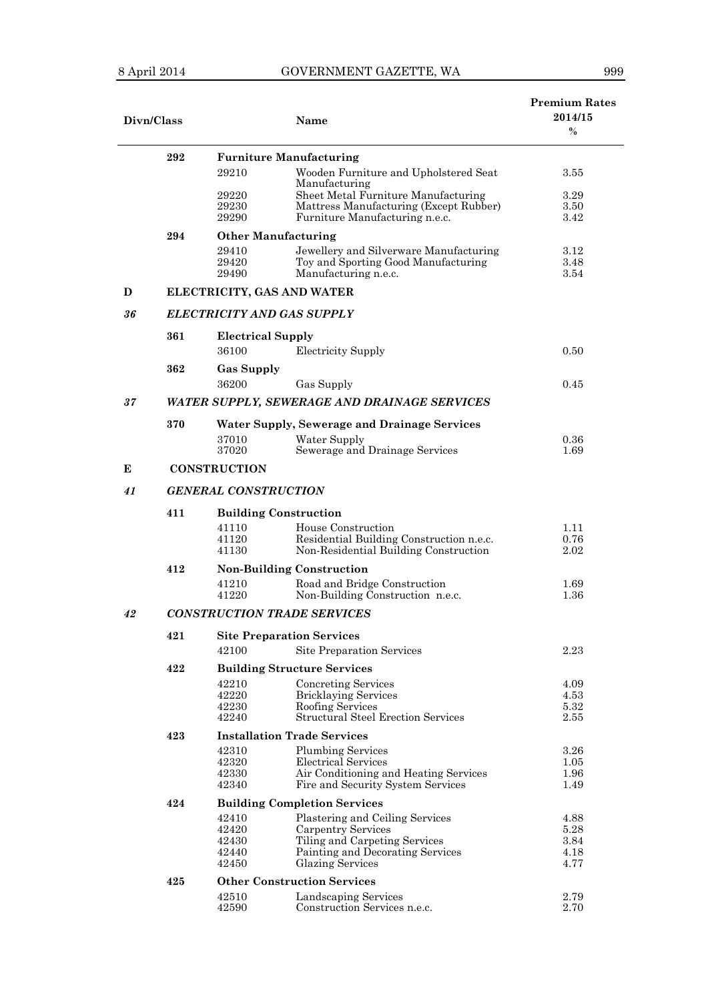|--|

| Divn/Class |                                    |                                   | <b>Name</b>                                                                       | <b>Premium Rates</b><br>2014/15<br>$\%$ |  |
|------------|------------------------------------|-----------------------------------|-----------------------------------------------------------------------------------|-----------------------------------------|--|
|            | 292                                |                                   | <b>Furniture Manufacturing</b>                                                    |                                         |  |
|            |                                    | 29210                             | Wooden Furniture and Upholstered Seat<br>Manufacturing                            | 3.55                                    |  |
|            |                                    | 29220                             | Sheet Metal Furniture Manufacturing                                               | 3.29                                    |  |
|            |                                    | 29230                             | Mattress Manufacturing (Except Rubber)                                            | 3.50                                    |  |
|            |                                    | 29290                             | Furniture Manufacturing n.e.c.                                                    | 3.42                                    |  |
|            | 294                                | <b>Other Manufacturing</b>        |                                                                                   |                                         |  |
|            |                                    | 29410                             | Jewellery and Silverware Manufacturing                                            | 3.12                                    |  |
|            |                                    | 29420<br>29490                    | Toy and Sporting Good Manufacturing<br>Manufacturing n.e.c.                       | 3.48<br>3.54                            |  |
| D          |                                    | ELECTRICITY, GAS AND WATER        |                                                                                   |                                         |  |
| 36         |                                    | <b>ELECTRICITY AND GAS SUPPLY</b> |                                                                                   |                                         |  |
|            |                                    |                                   |                                                                                   |                                         |  |
|            | 361                                | <b>Electrical Supply</b>          |                                                                                   |                                         |  |
|            |                                    | 36100                             | Electricity Supply                                                                | 0.50                                    |  |
|            | 362                                | <b>Gas Supply</b>                 |                                                                                   |                                         |  |
|            |                                    | 36200                             | Gas Supply                                                                        | 0.45                                    |  |
| 37         |                                    |                                   | <b>WATER SUPPLY, SEWERAGE AND DRAINAGE SERVICES</b>                               |                                         |  |
|            | 370                                |                                   | <b>Water Supply, Sewerage and Drainage Services</b>                               |                                         |  |
|            |                                    | 37010                             | Water Supply                                                                      | 0.36                                    |  |
|            |                                    | 37020                             | Sewerage and Drainage Services                                                    | 1.69                                    |  |
| E          |                                    | <b>CONSTRUCTION</b>               |                                                                                   |                                         |  |
| 41         | <b>GENERAL CONSTRUCTION</b>        |                                   |                                                                                   |                                         |  |
|            | 411                                | <b>Building Construction</b>      |                                                                                   |                                         |  |
|            |                                    | 41110                             | House Construction                                                                | 1.11                                    |  |
|            |                                    | 41120<br>41130                    | Residential Building Construction n.e.c.<br>Non-Residential Building Construction | 0.76                                    |  |
|            |                                    |                                   |                                                                                   | 2.02                                    |  |
|            | 412                                |                                   | <b>Non-Building Construction</b>                                                  |                                         |  |
|            |                                    | 41210<br>41220                    | Road and Bridge Construction<br>Non-Building Construction n.e.c.                  | 1.69<br>1.36                            |  |
| 42         | <b>CONSTRUCTION TRADE SERVICES</b> |                                   |                                                                                   |                                         |  |
|            | 421                                |                                   |                                                                                   |                                         |  |
|            |                                    | 42100                             | <b>Site Preparation Services</b><br>Site Preparation Services                     | 2.23                                    |  |
|            |                                    |                                   |                                                                                   |                                         |  |
|            | 422                                |                                   | <b>Building Structure Services</b>                                                |                                         |  |
|            |                                    | 42210<br>42220                    | Concreting Services<br><b>Bricklaying Services</b>                                | 4.09<br>4.53                            |  |
|            |                                    | 42230                             | Roofing Services                                                                  | 5.32                                    |  |
|            |                                    | 42240                             | <b>Structural Steel Erection Services</b>                                         | 2.55                                    |  |
|            | 423                                |                                   | <b>Installation Trade Services</b>                                                |                                         |  |
|            |                                    | 42310                             | <b>Plumbing Services</b>                                                          | 3.26                                    |  |
|            |                                    | 42320                             | Electrical Services                                                               | 1.05                                    |  |
|            |                                    | 42330                             | Air Conditioning and Heating Services                                             | 1.96                                    |  |
|            |                                    | 42340                             | Fire and Security System Services                                                 | 1.49                                    |  |
|            | 424                                |                                   | <b>Building Completion Services</b>                                               |                                         |  |
|            |                                    | 42410                             | Plastering and Ceiling Services                                                   | 4.88                                    |  |
|            |                                    | 42420<br>42430                    | Carpentry Services<br>Tiling and Carpeting Services                               | 5.28<br>3.84                            |  |
|            |                                    | 42440                             | Painting and Decorating Services                                                  | 4.18                                    |  |
|            |                                    | 42450                             | <b>Glazing Services</b>                                                           | 4.77                                    |  |
|            | 425                                |                                   | <b>Other Construction Services</b>                                                |                                         |  |
|            |                                    | 42510                             | Landscaping Services                                                              | 2.79                                    |  |
|            |                                    | 42590                             | Construction Services n.e.c.                                                      | 2.70                                    |  |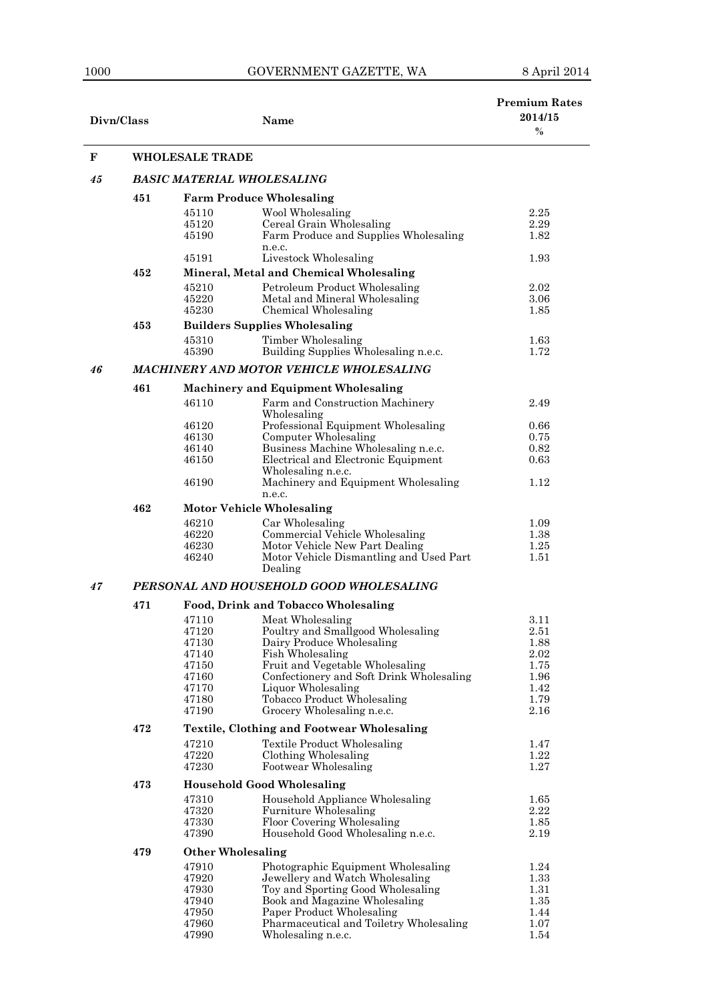| Divn/Class |                                         |                          | <b>Name</b>                                                               | <b>Premium Rates</b><br>2014/15<br>$\%$ |  |  |  |
|------------|-----------------------------------------|--------------------------|---------------------------------------------------------------------------|-----------------------------------------|--|--|--|
| F          |                                         | <b>WHOLESALE TRADE</b>   |                                                                           |                                         |  |  |  |
| 45         |                                         |                          | BASIC MATERIAL WHOLESALING                                                |                                         |  |  |  |
|            | 451                                     |                          | <b>Farm Produce Wholesaling</b>                                           |                                         |  |  |  |
|            |                                         | 45110                    | Wool Wholesaling                                                          | 2.25                                    |  |  |  |
|            |                                         | 45120                    | Cereal Grain Wholesaling                                                  | 2.29                                    |  |  |  |
|            |                                         | 45190                    | Farm Produce and Supplies Wholesaling                                     | 1.82                                    |  |  |  |
|            |                                         |                          | n.e.c.                                                                    |                                         |  |  |  |
|            |                                         | 45191                    | Livestock Wholesaling                                                     | 1.93                                    |  |  |  |
|            | 452                                     |                          | Mineral, Metal and Chemical Wholesaling                                   |                                         |  |  |  |
|            |                                         | 45210<br>45220           | Petroleum Product Wholesaling                                             | 2.02                                    |  |  |  |
|            |                                         | 45230                    | Metal and Mineral Wholesaling<br>Chemical Wholesaling                     | 3.06<br>1.85                            |  |  |  |
|            | 453                                     |                          | <b>Builders Supplies Wholesaling</b>                                      |                                         |  |  |  |
|            |                                         |                          |                                                                           |                                         |  |  |  |
|            |                                         | 45310<br>45390           | Timber Wholesaling<br>Building Supplies Wholesaling n.e.c.                | 1.63<br>1.72                            |  |  |  |
|            |                                         |                          |                                                                           |                                         |  |  |  |
| 46         |                                         |                          | MACHINERY AND MOTOR VEHICLE WHOLESALING                                   |                                         |  |  |  |
|            | 461                                     |                          | <b>Machinery and Equipment Wholesaling</b>                                |                                         |  |  |  |
|            |                                         | 46110                    | Farm and Construction Machinery                                           | 2.49                                    |  |  |  |
|            |                                         |                          | Wholesaling                                                               |                                         |  |  |  |
|            |                                         | 46120                    | Professional Equipment Wholesaling                                        | 0.66                                    |  |  |  |
|            |                                         | 46130<br>46140           | Computer Wholesaling<br>Business Machine Wholesaling n.e.c.               | 0.75<br>0.82                            |  |  |  |
|            |                                         | 46150                    | Electrical and Electronic Equipment                                       | 0.63                                    |  |  |  |
|            |                                         |                          | Wholesaling n.e.c.                                                        |                                         |  |  |  |
|            |                                         | 46190                    | Machinery and Equipment Wholesaling                                       | 1.12                                    |  |  |  |
|            |                                         |                          | n.e.c.                                                                    |                                         |  |  |  |
|            | 462                                     |                          | <b>Motor Vehicle Wholesaling</b>                                          |                                         |  |  |  |
|            |                                         | 46210                    | Car Wholesaling                                                           | 1.09                                    |  |  |  |
|            |                                         | 46220                    | Commercial Vehicle Wholesaling                                            | 1.38                                    |  |  |  |
|            |                                         | 46230<br>46240           | Motor Vehicle New Part Dealing<br>Motor Vehicle Dismantling and Used Part | 1.25<br>1.51                            |  |  |  |
|            |                                         |                          | Dealing                                                                   |                                         |  |  |  |
| 47         | PERSONAL AND HOUSEHOLD GOOD WHOLESALING |                          |                                                                           |                                         |  |  |  |
|            |                                         |                          |                                                                           |                                         |  |  |  |
|            | 471                                     |                          | Food, Drink and Tobacco Wholesaling                                       |                                         |  |  |  |
|            |                                         | 47110                    | Meat Wholesaling                                                          | 3.11                                    |  |  |  |
|            |                                         | 47120<br>47130           | Poultry and Smallgood Wholesaling<br>Dairy Produce Wholesaling            | 2.51<br>1.88                            |  |  |  |
|            |                                         | 47140                    | Fish Wholesaling                                                          | 2.02                                    |  |  |  |
|            |                                         | 47150                    | Fruit and Vegetable Wholesaling                                           | 1.75                                    |  |  |  |
|            |                                         | 47160                    | Confectionery and Soft Drink Wholesaling                                  | 1.96                                    |  |  |  |
|            |                                         | 47170                    | Liquor Wholesaling                                                        | 1.42                                    |  |  |  |
|            |                                         | 47180<br>47190           | Tobacco Product Wholesaling<br>Grocery Wholesaling n.e.c.                 | 1.79<br>2.16                            |  |  |  |
|            |                                         |                          |                                                                           |                                         |  |  |  |
|            | 472                                     |                          | <b>Textile, Clothing and Footwear Wholesaling</b>                         |                                         |  |  |  |
|            |                                         | 47210                    | <b>Textile Product Wholesaling</b>                                        | 1.47                                    |  |  |  |
|            |                                         | 47220<br>47230           | Clothing Wholesaling<br>Footwear Wholesaling                              | 1.22<br>1.27                            |  |  |  |
|            |                                         |                          |                                                                           |                                         |  |  |  |
|            | 473                                     |                          | <b>Household Good Wholesaling</b>                                         |                                         |  |  |  |
|            |                                         | 47310                    | Household Appliance Wholesaling                                           | 1.65                                    |  |  |  |
|            |                                         | 47320<br>47330           | Furniture Wholesaling<br>Floor Covering Wholesaling                       | 2.22<br>1.85                            |  |  |  |
|            |                                         | 47390                    | Household Good Wholesaling n.e.c.                                         | 2.19                                    |  |  |  |
|            | 479                                     | <b>Other Wholesaling</b> |                                                                           |                                         |  |  |  |
|            |                                         | 47910                    |                                                                           |                                         |  |  |  |
|            |                                         | 47920                    | Photographic Equipment Wholesaling<br>Jewellery and Watch Wholesaling     | 1.24<br>1.33                            |  |  |  |
|            |                                         | 47930                    | Toy and Sporting Good Wholesaling                                         | 1.31                                    |  |  |  |
|            |                                         | 47940                    | Book and Magazine Wholesaling                                             | 1.35                                    |  |  |  |
|            |                                         | 47950                    | Paper Product Wholesaling                                                 | 1.44                                    |  |  |  |
|            |                                         | 47960                    | Pharmaceutical and Toiletry Wholesaling<br>Wholesaling n.e.c.             | 1.07                                    |  |  |  |
|            |                                         | 47990                    |                                                                           | 1.54                                    |  |  |  |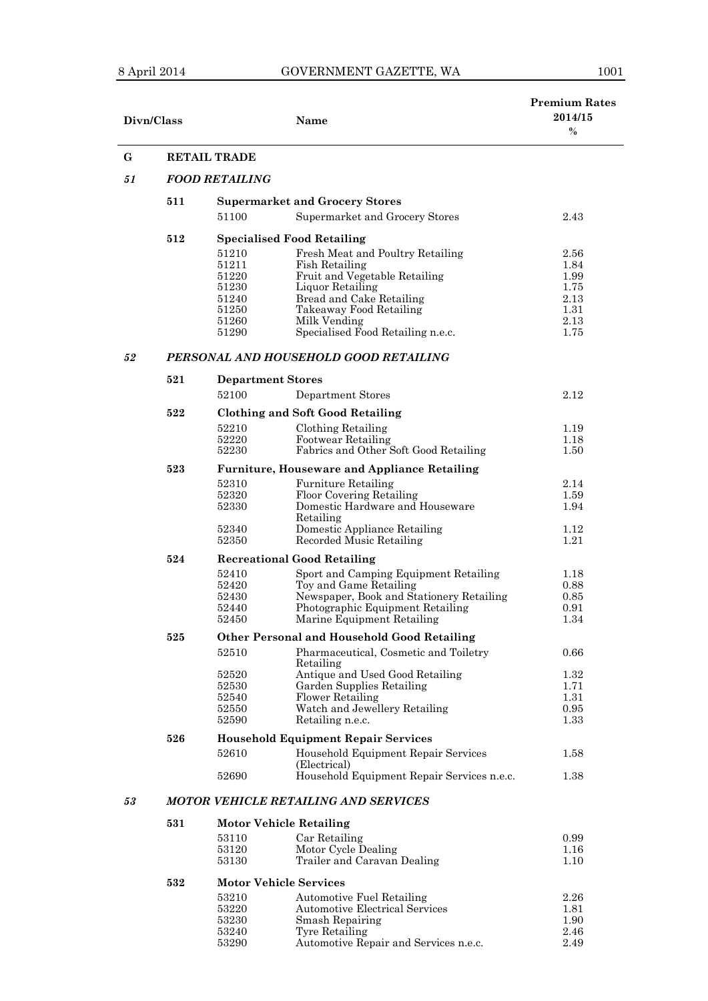## 8 April 2014 GOVERNMENT GAZETTE, WA 1001

| Divn/Class | <b>Name</b>                                                                                                                                                                  | <b>Premium Rates</b><br>2014/15<br>$\frac{0}{0}$ |
|------------|------------------------------------------------------------------------------------------------------------------------------------------------------------------------------|--------------------------------------------------|
| G          | <b>RETAIL TRADE</b>                                                                                                                                                          |                                                  |
| 51         | <b>FOOD RETAILING</b>                                                                                                                                                        |                                                  |
| 511        | <b>Supermarket and Grocery Stores</b>                                                                                                                                        |                                                  |
|            | 51100<br>Supermarket and Grocery Stores                                                                                                                                      | 2.43                                             |
|            |                                                                                                                                                                              |                                                  |
| 512        | <b>Specialised Food Retailing</b>                                                                                                                                            |                                                  |
|            | 51210<br>Fresh Meat and Poultry Retailing                                                                                                                                    | $2.56\,$                                         |
|            | 51211<br>Fish Retailing                                                                                                                                                      | 1.84                                             |
|            | Fruit and Vegetable Retailing<br>51220                                                                                                                                       | 1.99                                             |
|            | 51230<br>Liquor Retailing<br>51240<br>Bread and Cake Retailing                                                                                                               | 1.75<br>2.13                                     |
|            | 51250<br>Takeaway Food Retailing                                                                                                                                             | 1.31                                             |
|            | 51260<br>Milk Vending                                                                                                                                                        | 2.13                                             |
|            | Specialised Food Retailing n.e.c.<br>51290                                                                                                                                   | 1.75                                             |
| 52         | PERSONAL AND HOUSEHOLD GOOD RETAILING                                                                                                                                        |                                                  |
| 521        |                                                                                                                                                                              |                                                  |
|            | <b>Department Stores</b>                                                                                                                                                     |                                                  |
|            | 52100<br>Department Stores                                                                                                                                                   | $2.12\,$                                         |
| 522        | <b>Clothing and Soft Good Retailing</b>                                                                                                                                      |                                                  |
|            | 52210<br>Clothing Retailing                                                                                                                                                  | 1.19                                             |
|            | 52220<br>Footwear Retailing                                                                                                                                                  | 1.18                                             |
|            | 52230<br>Fabrics and Other Soft Good Retailing                                                                                                                               | 1.50                                             |
| 523        | <b>Furniture, Houseware and Appliance Retailing</b>                                                                                                                          |                                                  |
|            | 52310<br><b>Furniture Retailing</b>                                                                                                                                          | 2.14                                             |
|            | 52320<br>Floor Covering Retailing                                                                                                                                            | 1.59                                             |
|            | Domestic Hardware and Houseware<br>52330<br>Retailing                                                                                                                        | 1.94                                             |
|            | 52340<br>Domestic Appliance Retailing<br>52350<br>Recorded Music Retailing                                                                                                   | 1.12<br>1.21                                     |
| 524        | <b>Recreational Good Retailing</b>                                                                                                                                           |                                                  |
|            | 52410<br>Sport and Camping Equipment Retailing                                                                                                                               | 1.18                                             |
|            | 52420<br>Toy and Game Retailing                                                                                                                                              | 0.88                                             |
|            | Newspaper, Book and Stationery Retailing<br>52430                                                                                                                            | 0.85                                             |
|            | Photographic Equipment Retailing<br>52440                                                                                                                                    | 0.91                                             |
|            | Marine Equipment Retailing<br>52450                                                                                                                                          | 1.34                                             |
| 525        | <b>Other Personal and Household Good Retailing</b>                                                                                                                           |                                                  |
|            | Pharmaceutical, Cosmetic and Toiletry<br>52510<br>Retailing                                                                                                                  | 0.66                                             |
|            | 52520<br>Antique and Used Good Retailing                                                                                                                                     | 1.32                                             |
|            | Garden Supplies Retailing<br>52530                                                                                                                                           | 1.71                                             |
|            | 52540<br><b>Flower Retailing</b>                                                                                                                                             | 1.31                                             |
|            | Watch and Jewellery Retailing<br>52550<br>52590<br>Retailing n.e.c.                                                                                                          | 0.95<br>1.33                                     |
| 526        | <b>Household Equipment Repair Services</b>                                                                                                                                   |                                                  |
|            | 52610<br>Household Equipment Repair Services                                                                                                                                 | 1.58                                             |
|            | (Electrical)<br>Household Equipment Repair Services n.e.c.<br>52690                                                                                                          | 1.38                                             |
|            |                                                                                                                                                                              |                                                  |
| 53         | <b>MOTOR VEHICLE RETAILING AND SERVICES</b>                                                                                                                                  |                                                  |
| 531        | <b>Motor Vehicle Retailing</b>                                                                                                                                               |                                                  |
|            |                                                                                                                                                                              |                                                  |
|            |                                                                                                                                                                              |                                                  |
|            |                                                                                                                                                                              |                                                  |
| 532        | <b>Motor Vehicle Services</b>                                                                                                                                                |                                                  |
|            | 53210                                                                                                                                                                        | $2.26\,$                                         |
|            | 53110<br>Car Retailing<br>53120<br>Motor Cycle Dealing<br>53130<br>Trailer and Caravan Dealing<br><b>Automotive Fuel Retailing</b><br>52990<br>Automotive Flootmool Services | 0.99<br>1.16<br>1.10<br>$1$ $Q1$                 |

| 53210 | Automotive Fuel Retailing             | 2.26 |
|-------|---------------------------------------|------|
| 53220 | <b>Automotive Electrical Services</b> | 1.81 |
| 53230 | Smash Repairing                       | 1.90 |
| 53240 | Tyre Retailing                        | 2.46 |
| 53290 | Automotive Repair and Services n.e.c. | 2.49 |
|       |                                       |      |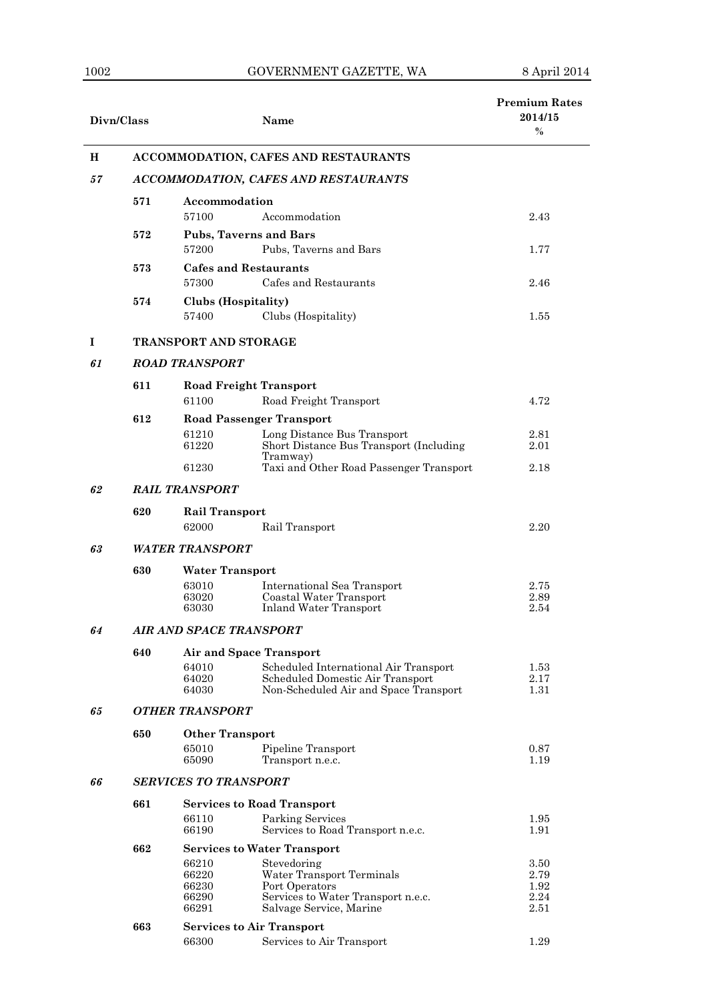| Divn/Class |                                      | <b>Name</b>                                                                                          |              |  |  |
|------------|--------------------------------------|------------------------------------------------------------------------------------------------------|--------------|--|--|
| H          | ACCOMMODATION, CAFES AND RESTAURANTS |                                                                                                      |              |  |  |
| 57         | ACCOMMODATION, CAFES AND RESTAURANTS |                                                                                                      |              |  |  |
|            | 571                                  | Accommodation<br>Accommodation<br>57100                                                              | 2.43         |  |  |
|            | 572                                  | <b>Pubs, Taverns and Bars</b><br>57200<br>Pubs, Taverns and Bars                                     | 1.77         |  |  |
|            | 573                                  | <b>Cafes and Restaurants</b><br>Cafes and Restaurants<br>57300                                       | 2.46         |  |  |
|            | 574                                  | Clubs (Hospitality)<br>57400<br>Clubs (Hospitality)                                                  | 1.55         |  |  |
| I          |                                      | <b>TRANSPORT AND STORAGE</b>                                                                         |              |  |  |
| 61         |                                      | <b>ROAD TRANSPORT</b>                                                                                |              |  |  |
|            | 611                                  | <b>Road Freight Transport</b>                                                                        |              |  |  |
|            |                                      | 61100<br>Road Freight Transport                                                                      | 4.72         |  |  |
|            | 612                                  | <b>Road Passenger Transport</b>                                                                      |              |  |  |
|            |                                      | 61210<br>Long Distance Bus Transport<br>61220<br>Short Distance Bus Transport (Including<br>Tramway) | 2.81<br>2.01 |  |  |
|            |                                      | 61230<br>Taxi and Other Road Passenger Transport                                                     | 2.18         |  |  |
| 62         | <b>RAIL TRANSPORT</b>                |                                                                                                      |              |  |  |
|            | 620                                  | <b>Rail Transport</b>                                                                                |              |  |  |
|            |                                      | 62000<br>Rail Transport<br><b>WATER TRANSPORT</b>                                                    | 2.20         |  |  |
| 63         |                                      |                                                                                                      |              |  |  |
|            | 630                                  | <b>Water Transport</b>                                                                               |              |  |  |
|            |                                      | 63010<br>International Sea Transport<br>63020<br>Coastal Water Transport                             | 2.75<br>2.89 |  |  |
|            |                                      | 63030<br><b>Inland Water Transport</b>                                                               | 2.54         |  |  |
| 64         | AIR AND SPACE TRANSPORT              |                                                                                                      |              |  |  |
|            | 640                                  |                                                                                                      |              |  |  |
|            |                                      | Scheduled International Air Transport<br>64010                                                       | 1.53         |  |  |
|            |                                      | Scheduled Domestic Air Transport<br>64020<br>64030<br>Non-Scheduled Air and Space Transport          | 2.17<br>1.31 |  |  |
| 65         | <b>OTHER TRANSPORT</b>               |                                                                                                      |              |  |  |
|            | 650                                  | <b>Other Transport</b>                                                                               |              |  |  |
|            |                                      | 65010<br>Pipeline Transport<br>65090<br>Transport n.e.c.                                             | 0.87<br>1.19 |  |  |
| 66         |                                      | <b>SERVICES TO TRANSPORT</b>                                                                         |              |  |  |
|            | 661                                  | <b>Services to Road Transport</b>                                                                    |              |  |  |
|            |                                      | 66110<br>Parking Services<br>66190<br>Services to Road Transport n.e.c.                              | 1.95<br>1.91 |  |  |
|            | 662                                  | <b>Services to Water Transport</b>                                                                   |              |  |  |
|            |                                      | 66210<br>Stevedoring                                                                                 | 3.50         |  |  |
|            |                                      | Water Transport Terminals<br>66220<br>66230<br>Port Operators                                        | 2.79<br>1.92 |  |  |
|            |                                      | 66290<br>Services to Water Transport n.e.c.                                                          | 2.24         |  |  |
|            |                                      | 66291<br>Salvage Service, Marine                                                                     | 2.51         |  |  |
|            | 663                                  | <b>Services to Air Transport</b>                                                                     |              |  |  |
|            |                                      | 66300<br>Services to Air Transport                                                                   | 1.29         |  |  |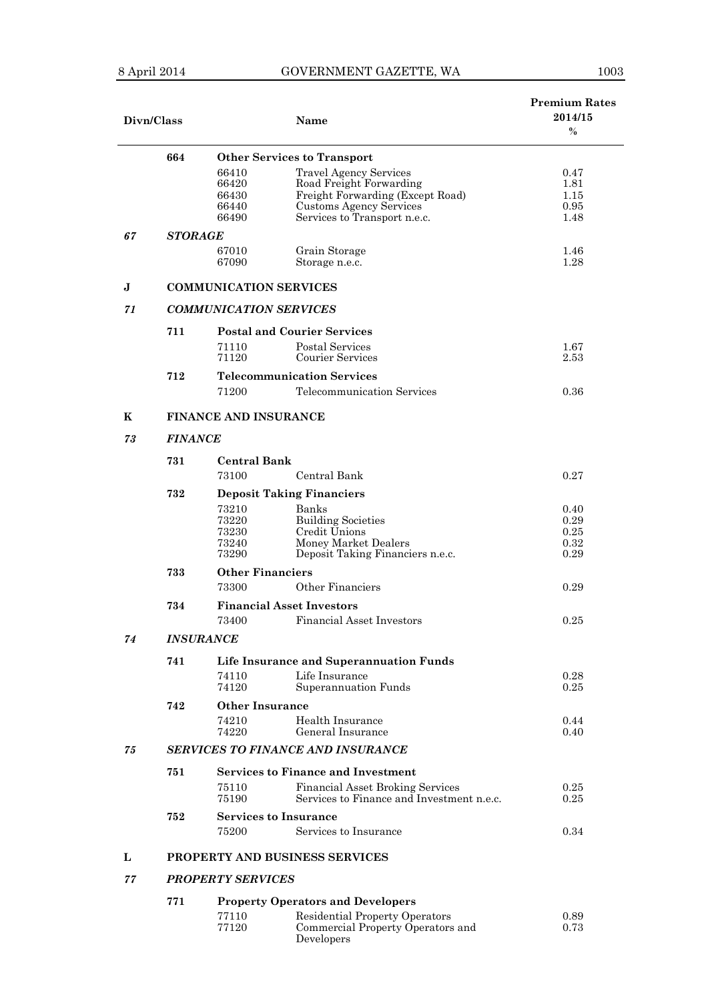## 8 April 2014 GOVERNMENT GAZETTE, WA

| Divn/Class |                                |                               | <b>Name</b>                               | <b>Premium Rates</b><br>2014/15<br>$\%$ |  |
|------------|--------------------------------|-------------------------------|-------------------------------------------|-----------------------------------------|--|
|            | 664                            |                               | <b>Other Services to Transport</b>        |                                         |  |
|            |                                | 66410                         | <b>Travel Agency Services</b>             | 0.47                                    |  |
|            |                                | 66420                         | Road Freight Forwarding                   | 1.81                                    |  |
|            |                                | 66430                         | Freight Forwarding (Except Road)          | 1.15                                    |  |
|            |                                | 66440                         | Customs Agency Services                   | 0.95                                    |  |
|            |                                | 66490                         | Services to Transport n.e.c.              | 1.48                                    |  |
| 67         | <i><b>STORAGE</b></i>          |                               |                                           |                                         |  |
|            |                                | 67010                         | Grain Storage                             | 1.46                                    |  |
|            |                                | 67090                         | Storage n.e.c.                            | 1.28                                    |  |
| J          |                                | <b>COMMUNICATION SERVICES</b> |                                           |                                         |  |
| 71         |                                | <b>COMMUNICATION SERVICES</b> |                                           |                                         |  |
|            |                                |                               |                                           |                                         |  |
|            | 711                            |                               | <b>Postal and Courier Services</b>        |                                         |  |
|            |                                | 71110                         | Postal Services                           | 1.67                                    |  |
|            |                                | 71120                         | Courier Services                          | 2.53                                    |  |
|            | 712                            |                               | <b>Telecommunication Services</b>         |                                         |  |
|            |                                | 71200                         | Telecommunication Services                | 0.36                                    |  |
|            |                                |                               |                                           |                                         |  |
| K          |                                | <b>FINANCE AND INSURANCE</b>  |                                           |                                         |  |
| 73         | <b>FINANCE</b>                 |                               |                                           |                                         |  |
|            | 731                            | <b>Central Bank</b>           |                                           |                                         |  |
|            |                                | 73100                         | Central Bank                              | 0.27                                    |  |
|            | 732                            |                               | <b>Deposit Taking Financiers</b>          |                                         |  |
|            |                                | 73210                         | Banks                                     | 0.40                                    |  |
|            |                                | 73220                         | <b>Building Societies</b>                 | 0.29                                    |  |
|            |                                | 73230                         | Credit Unions                             | 0.25                                    |  |
|            |                                | 73240                         | Money Market Dealers                      | 0.32                                    |  |
|            |                                | 73290                         | Deposit Taking Financiers n.e.c.          | 0.29                                    |  |
|            | 733<br><b>Other Financiers</b> |                               |                                           |                                         |  |
|            |                                | 73300                         | Other Financiers                          | 0.29                                    |  |
|            | 734                            |                               | <b>Financial Asset Investors</b>          |                                         |  |
|            |                                | 73400                         | <b>Financial Asset Investors</b>          | 0.25                                    |  |
| 74         |                                | <b>INSURANCE</b>              |                                           |                                         |  |
|            |                                |                               |                                           |                                         |  |
|            | 741                            |                               | Life Insurance and Superannuation Funds   |                                         |  |
|            |                                | 74110                         | Life Insurance                            | 0.28                                    |  |
|            |                                | 74120                         | Superannuation Funds                      | 0.25                                    |  |
|            | 742                            | Other Insurance               |                                           |                                         |  |
|            |                                | 74210                         | Health Insurance                          | 0.44                                    |  |
|            |                                | 74220                         | General Insurance                         | 0.40                                    |  |
| 75         |                                |                               | <b>SERVICES TO FINANCE AND INSURANCE</b>  |                                         |  |
|            | 751                            |                               | <b>Services to Finance and Investment</b> |                                         |  |
|            |                                | 75110                         | <b>Financial Asset Broking Services</b>   | 0.25                                    |  |
|            |                                | 75190                         | Services to Finance and Investment n.e.c. | 0.25                                    |  |
|            | 752                            |                               | <b>Services to Insurance</b>              |                                         |  |
|            |                                | 75200                         | Services to Insurance                     | 0.34                                    |  |
| L          |                                |                               |                                           |                                         |  |
|            |                                |                               | <b>PROPERTY AND BUSINESS SERVICES</b>     |                                         |  |
| 77         |                                | <b>PROPERTY SERVICES</b>      |                                           |                                         |  |
|            | 771                            |                               | <b>Property Operators and Developers</b>  |                                         |  |
|            |                                | 77110                         | <b>Residential Property Operators</b>     | 0.89                                    |  |
|            |                                | 77120                         | Commercial Property Operators and         | 0.73                                    |  |

Developers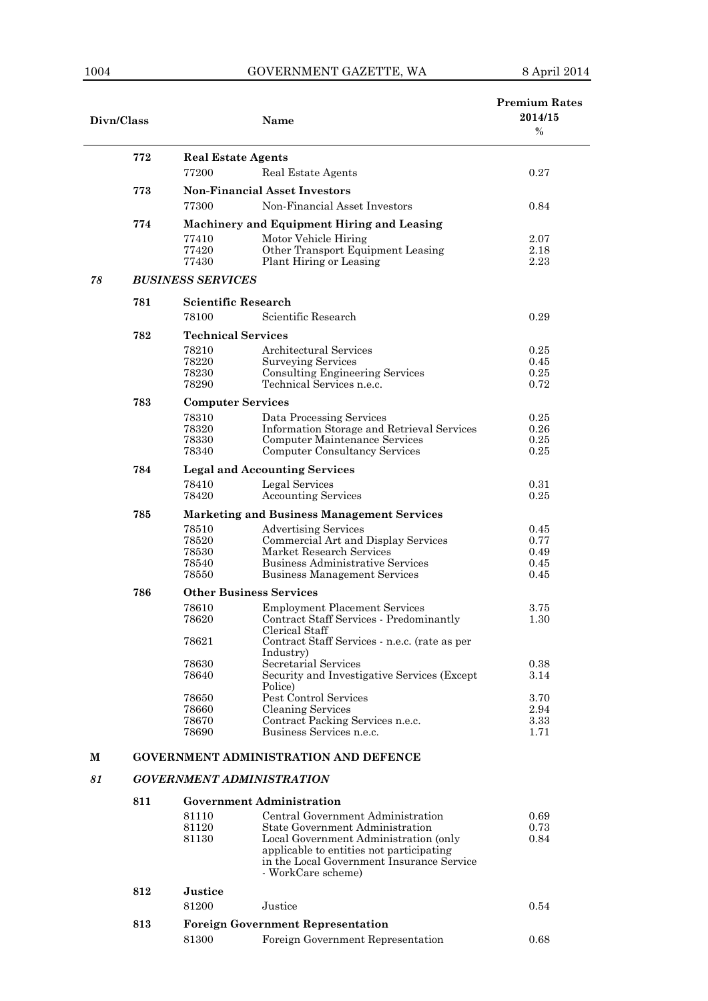| Divn/Class |     |                                    | <b>Name</b>                                                                       | <b>Premium Rates</b><br>2014/15<br>$\%$ |  |
|------------|-----|------------------------------------|-----------------------------------------------------------------------------------|-----------------------------------------|--|
|            | 772 |                                    |                                                                                   |                                         |  |
|            |     | <b>Real Estate Agents</b><br>77200 | Real Estate Agents                                                                | 0.27                                    |  |
|            |     |                                    |                                                                                   |                                         |  |
|            | 773 | 77300                              | <b>Non-Financial Asset Investors</b><br>Non-Financial Asset Investors             |                                         |  |
|            |     |                                    |                                                                                   | 0.84                                    |  |
|            | 774 |                                    | Machinery and Equipment Hiring and Leasing                                        |                                         |  |
|            |     | 77410<br>77420                     | Motor Vehicle Hiring<br>Other Transport Equipment Leasing                         | 2.07<br>2.18                            |  |
|            |     | 77430                              | Plant Hiring or Leasing                                                           | 2.23                                    |  |
| 78         |     | <b>BUSINESS SERVICES</b>           |                                                                                   |                                         |  |
|            | 781 | <b>Scientific Research</b>         |                                                                                   |                                         |  |
|            |     | 78100                              | Scientific Research                                                               | 0.29                                    |  |
|            | 782 | <b>Technical Services</b>          |                                                                                   |                                         |  |
|            |     | 78210                              | Architectural Services                                                            | 0.25                                    |  |
|            |     | 78220                              | <b>Surveying Services</b>                                                         | 0.45                                    |  |
|            |     | 78230                              | <b>Consulting Engineering Services</b>                                            | 0.25                                    |  |
|            |     | 78290                              | Technical Services n.e.c.                                                         | 0.72                                    |  |
|            | 783 | <b>Computer Services</b>           |                                                                                   |                                         |  |
|            |     | 78310                              | Data Processing Services                                                          | $0.25\,$                                |  |
|            |     | 78320<br>78330                     | Information Storage and Retrieval Services<br>Computer Maintenance Services       | 0.26<br>0.25                            |  |
|            |     | 78340                              | <b>Computer Consultancy Services</b>                                              | 0.25                                    |  |
|            | 784 |                                    | <b>Legal and Accounting Services</b>                                              |                                         |  |
|            |     | 78410                              | Legal Services                                                                    | 0.31                                    |  |
|            |     | 78420                              | <b>Accounting Services</b>                                                        | 0.25                                    |  |
|            | 785 |                                    | <b>Marketing and Business Management Services</b>                                 |                                         |  |
|            |     | 78510                              | <b>Advertising Services</b>                                                       | 0.45                                    |  |
|            |     | 78520                              | Commercial Art and Display Services                                               | 0.77                                    |  |
|            |     | 78530                              | Market Research Services                                                          | 0.49                                    |  |
|            |     | 78540<br>78550                     | <b>Business Administrative Services</b><br><b>Business Management Services</b>    | 0.45<br>0.45                            |  |
|            |     |                                    |                                                                                   |                                         |  |
|            | 786 |                                    | <b>Other Business Services</b>                                                    |                                         |  |
|            |     | 78610<br>78620                     | <b>Employment Placement Services</b><br>Contract Staff Services - Predominantly   | 3.75<br>1.30                            |  |
|            |     |                                    | Clerical Staff                                                                    |                                         |  |
|            |     | 78621                              | Contract Staff Services - n.e.c. (rate as per                                     |                                         |  |
|            |     |                                    | Industry)                                                                         |                                         |  |
|            |     | 78630<br>78640                     | Secretarial Services<br>Security and Investigative Services (Except)              | 0.38<br>3.14                            |  |
|            |     |                                    | Police)                                                                           |                                         |  |
|            |     | 78650                              | Pest Control Services                                                             | 3.70                                    |  |
|            |     | 78660                              | Cleaning Services                                                                 | 2.94                                    |  |
|            |     | 78670<br>78690                     | Contract Packing Services n.e.c.<br>Business Services n.e.c.                      | 3.33<br>1.71                            |  |
|            |     |                                    |                                                                                   |                                         |  |
| М          |     |                                    | <b>GOVERNMENT ADMINISTRATION AND DEFENCE</b>                                      |                                         |  |
| 81         |     |                                    | <b>GOVERNMENT ADMINISTRATION</b>                                                  |                                         |  |
|            | 811 |                                    | <b>Government Administration</b>                                                  |                                         |  |
|            |     | 81110                              | Central Government Administration                                                 | 0.69                                    |  |
|            |     | 81120                              | State Government Administration                                                   | 0.73                                    |  |
|            |     | 81130                              | Local Government Administration (only<br>applicable to entities not participating | 0.84                                    |  |
|            |     |                                    | in the Local Government Insurance Service                                         |                                         |  |
|            |     |                                    | - WorkCare scheme)                                                                |                                         |  |
|            | 812 | <b>Justice</b>                     |                                                                                   |                                         |  |
|            |     | 81200                              | Justice                                                                           | 0.54                                    |  |
|            | 813 |                                    | <b>Foreign Government Representation</b>                                          |                                         |  |
|            |     | 81300                              |                                                                                   | 0.68                                    |  |
|            |     |                                    | Foreign Government Representation                                                 |                                         |  |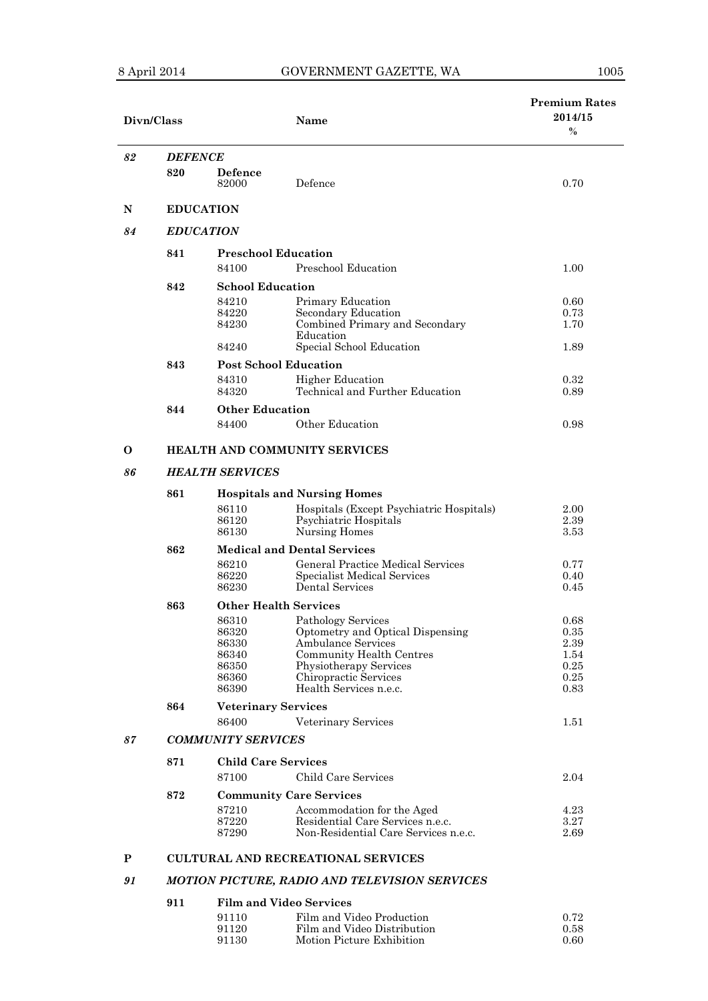| Divn/Class   |                        |                            | Name                                                                     | <b>Premium Rates</b><br>2014/15<br>$\%$ |
|--------------|------------------------|----------------------------|--------------------------------------------------------------------------|-----------------------------------------|
| 82           | <b>DEFENCE</b>         |                            |                                                                          |                                         |
|              | 820                    | Defence<br>82000           | Defence                                                                  | 0.70                                    |
| N            |                        | <b>EDUCATION</b>           |                                                                          |                                         |
| 84           |                        | <b>EDUCATION</b>           |                                                                          |                                         |
|              | 841                    |                            | <b>Preschool Education</b>                                               |                                         |
|              |                        | 84100                      | Preschool Education                                                      | 1.00                                    |
|              | 842                    | <b>School Education</b>    |                                                                          |                                         |
|              |                        | 84210                      | Primary Education                                                        | 0.60                                    |
|              |                        | 84220                      | Secondary Education                                                      | 0.73                                    |
|              |                        | 84230                      | Combined Primary and Secondary                                           | 1.70                                    |
|              |                        | 84240                      | Education<br>Special School Education                                    | 1.89                                    |
|              | 843                    |                            | <b>Post School Education</b>                                             |                                         |
|              |                        | 84310                      | <b>Higher Education</b>                                                  | 0.32                                    |
|              |                        | 84320                      | Technical and Further Education                                          | 0.89                                    |
|              | 844                    | <b>Other Education</b>     |                                                                          |                                         |
|              |                        | 84400                      | Other Education                                                          | 0.98                                    |
| O            |                        |                            | HEALTH AND COMMUNITY SERVICES                                            |                                         |
| 86           | <b>HEALTH SERVICES</b> |                            |                                                                          |                                         |
|              | 861                    |                            | <b>Hospitals and Nursing Homes</b>                                       |                                         |
|              |                        | 86110                      | Hospitals (Except Psychiatric Hospitals)                                 | 2.00                                    |
|              |                        | 86120                      | Psychiatric Hospitals                                                    | 2.39                                    |
|              | 862                    | 86130                      | Nursing Homes<br><b>Medical and Dental Services</b>                      | 3.53                                    |
|              |                        | 86210                      | General Practice Medical Services                                        | 0.77                                    |
|              |                        | 86220                      | Specialist Medical Services                                              | 0.40                                    |
|              |                        | 86230                      | <b>Dental Services</b>                                                   | 0.45                                    |
|              | 863                    |                            | <b>Other Health Services</b>                                             |                                         |
|              |                        | 86310                      | Pathology Services                                                       | 0.68                                    |
|              |                        | 86320                      | Optometry and Optical Dispensing                                         | 0.35                                    |
|              |                        | 86330<br>86340             | <b>Ambulance Services</b><br><b>Community Health Centres</b>             | 2.39<br>1.54                            |
|              |                        | 86350                      | Physiotherapy Services                                                   | 0.25                                    |
|              |                        | 86360                      | Chiropractic Services                                                    | $\rm 0.25$                              |
|              |                        | 86390                      | Health Services n.e.c.                                                   | 0.83                                    |
|              | 864                    | <b>Veterinary Services</b> |                                                                          |                                         |
|              |                        | 86400                      | Veterinary Services                                                      | 1.51                                    |
| 87           |                        | <b>COMMUNITY SERVICES</b>  |                                                                          |                                         |
|              | 871                    | <b>Child Care Services</b> |                                                                          |                                         |
|              |                        | 87100                      | Child Care Services                                                      | 2.04                                    |
|              | 872                    |                            | <b>Community Care Services</b>                                           |                                         |
|              |                        | 87210                      | Accommodation for the Aged                                               | 4.23                                    |
|              |                        | 87220<br>87290             | Residential Care Services n.e.c.<br>Non-Residential Care Services n.e.c. | $3.27\,$<br>2.69                        |
| $\mathbf{P}$ |                        |                            | <b>CULTURAL AND RECREATIONAL SERVICES</b>                                |                                         |
| 91           |                        |                            | MOTION PICTURE, RADIO AND TELEVISION SERVICES                            |                                         |
|              |                        |                            |                                                                          |                                         |
|              | 911                    |                            | <b>Film and Video Services</b>                                           |                                         |

| 91110 | Film and Video Production   | 0.72 |
|-------|-----------------------------|------|
| 91120 | Film and Video Distribution | 0.58 |
| 91130 | Motion Picture Exhibition   | 0.60 |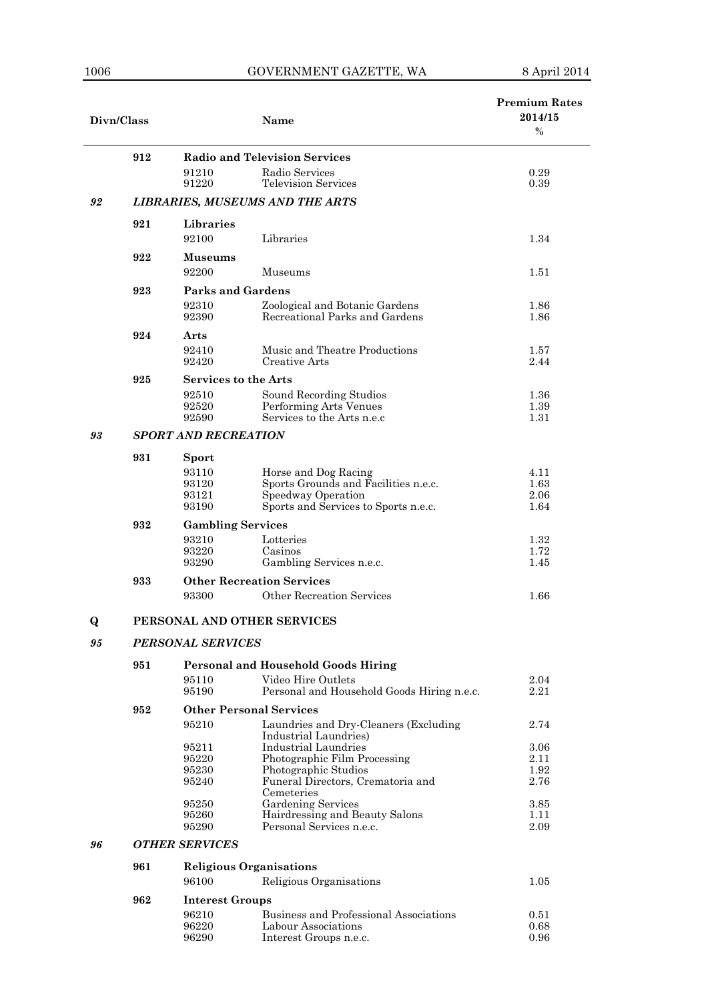J.

| Divn/Class |                          |                                | <b>Name</b>                                                      | <b>Premium Rates</b><br>2014/15<br>$\frac{0}{0}$ |  |
|------------|--------------------------|--------------------------------|------------------------------------------------------------------|--------------------------------------------------|--|
|            | 912                      |                                | <b>Radio and Television Services</b>                             |                                                  |  |
|            |                          | 91210<br>91220                 | Radio Services<br><b>Television Services</b>                     | 0.29<br>0.39                                     |  |
| 92         |                          |                                | <b>LIBRARIES, MUSEUMS AND THE ARTS</b>                           |                                                  |  |
|            | 921                      | Libraries                      |                                                                  |                                                  |  |
|            |                          | 92100                          | Libraries                                                        | 1.34                                             |  |
|            | 922                      | Museums<br>92200               | Museums                                                          | 1.51                                             |  |
|            | 923                      | Parks and Gardens              |                                                                  |                                                  |  |
|            |                          | 92310<br>92390                 | Zoological and Botanic Gardens<br>Recreational Parks and Gardens | 1.86<br>1.86                                     |  |
|            | 924                      | $\operatorname{\textbf{Arts}}$ |                                                                  |                                                  |  |
|            |                          | 92410<br>92420                 | Music and Theatre Productions<br>Creative Arts                   | 1.57<br>2.44                                     |  |
|            | 925                      | <b>Services to the Arts</b>    |                                                                  |                                                  |  |
|            |                          | 92510                          | Sound Recording Studios                                          | 1.36                                             |  |
|            |                          | 92520<br>92590                 | Performing Arts Venues<br>Services to the Arts n.e.c             | 1.39<br>1.31                                     |  |
| 93         |                          | <b>SPORT AND RECREATION</b>    |                                                                  |                                                  |  |
|            | 931                      | Sport                          |                                                                  |                                                  |  |
|            |                          | 93110                          | Horse and Dog Racing                                             | 4.11                                             |  |
|            |                          | 93120<br>93121                 | Sports Grounds and Facilities n.e.c.<br>Speedway Operation       | 1.63<br>2.06                                     |  |
|            |                          | 93190                          | Sports and Services to Sports n.e.c.                             | 1.64                                             |  |
|            | 932                      | <b>Gambling Services</b>       |                                                                  |                                                  |  |
|            |                          | 93210                          | Lotteries                                                        | 1.32                                             |  |
|            |                          | 93220<br>93290                 | Casinos<br>Gambling Services n.e.c.                              | 1.72<br>1.45                                     |  |
|            | 933                      |                                | <b>Other Recreation Services</b>                                 |                                                  |  |
|            |                          | 93300                          | Other Recreation Services                                        | 1.66                                             |  |
| Q          |                          |                                | PERSONAL AND OTHER SERVICES                                      |                                                  |  |
| 95         | <b>PERSONAL SERVICES</b> |                                |                                                                  |                                                  |  |
|            | 951                      |                                | <b>Personal and Household Goods Hiring</b>                       |                                                  |  |
|            |                          | 95110<br>95190                 | Video Hire Outlets<br>Personal and Household Goods Hiring n.e.c. | 2.04<br>2.21                                     |  |
|            | 952                      |                                | <b>Other Personal Services</b>                                   |                                                  |  |
|            |                          | 95210                          | Laundries and Dry-Cleaners (Excluding                            | 2.74                                             |  |
|            |                          | 95211                          | Industrial Laundries)<br>Industrial Laundries                    | 3.06                                             |  |
|            |                          | 95220                          | Photographic Film Processing                                     | 2.11                                             |  |
|            |                          | 95230                          | Photographic Studios                                             | 1.92                                             |  |
|            |                          | 95240                          | Funeral Directors, Crematoria and<br>Cemeteries                  | 2.76                                             |  |
|            |                          | 95250                          | <b>Gardening Services</b>                                        | 3.85                                             |  |
|            |                          | 95260<br>95290                 | Hairdressing and Beauty Salons<br>Personal Services n.e.c.       | 1.11<br>2.09                                     |  |
| 96         |                          | <b>OTHER SERVICES</b>          |                                                                  |                                                  |  |
|            | 961                      |                                | <b>Religious Organisations</b>                                   |                                                  |  |
|            |                          | 96100                          | Religious Organisations                                          | 1.05                                             |  |
|            | 962                      | <b>Interest Groups</b>         |                                                                  |                                                  |  |
|            |                          | 96210                          | Business and Professional Associations                           | 0.51                                             |  |
|            |                          | 96220<br>96290                 | Labour Associations<br>Interest Groups n.e.c.                    | 0.68<br>0.96                                     |  |
|            |                          |                                |                                                                  |                                                  |  |